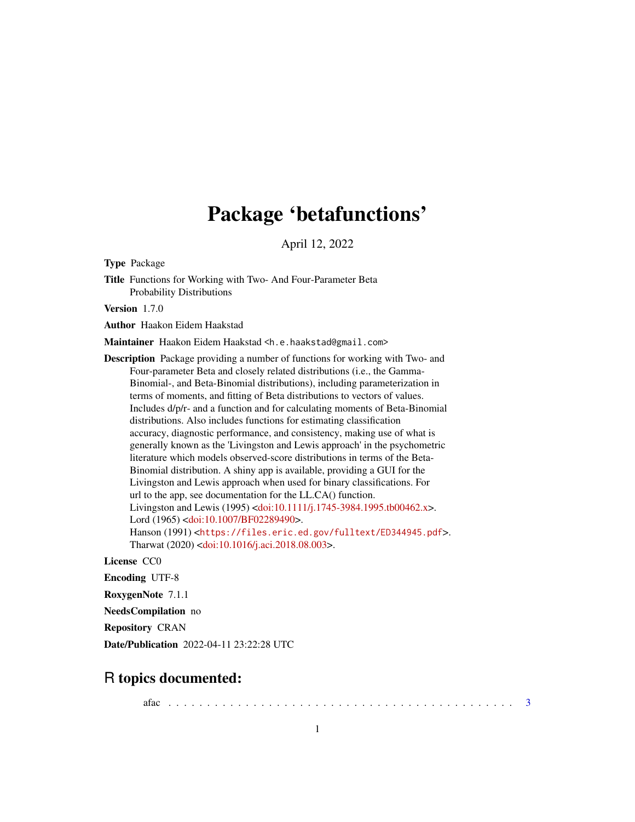# Package 'betafunctions'

April 12, 2022

Type Package

Title Functions for Working with Two- And Four-Parameter Beta Probability Distributions

Version 1.7.0

Author Haakon Eidem Haakstad

Maintainer Haakon Eidem Haakstad <h.e.haakstad@gmail.com>

Description Package providing a number of functions for working with Two- and Four-parameter Beta and closely related distributions (i.e., the Gamma-Binomial-, and Beta-Binomial distributions), including parameterization in terms of moments, and fitting of Beta distributions to vectors of values. Includes d/p/r- and a function and for calculating moments of Beta-Binomial distributions. Also includes functions for estimating classification accuracy, diagnostic performance, and consistency, making use of what is generally known as the 'Livingston and Lewis approach' in the psychometric literature which models observed-score distributions in terms of the Beta-Binomial distribution. A shiny app is available, providing a GUI for the Livingston and Lewis approach when used for binary classifications. For url to the app, see documentation for the LL.CA() function. Livingston and Lewis (1995) [<doi:10.1111/j.1745-3984.1995.tb00462.x>](https://doi.org/10.1111/j.1745-3984.1995.tb00462.x). Lord (1965) [<doi:10.1007/BF02289490>](https://doi.org/10.1007/BF02289490). Hanson (1991) <<https://files.eric.ed.gov/fulltext/ED344945.pdf>>. Tharwat (2020) [<doi:10.1016/j.aci.2018.08.003>](https://doi.org/10.1016/j.aci.2018.08.003).

License CC0

Encoding UTF-8

RoxygenNote 7.1.1

NeedsCompilation no

Repository CRAN

Date/Publication 2022-04-11 23:22:28 UTC

## R topics documented:

afac . . . . . . . . . . . . . . . . . . . . . . . . . . . . . . . . . . . . . . . . . . . . . [3](#page-2-0)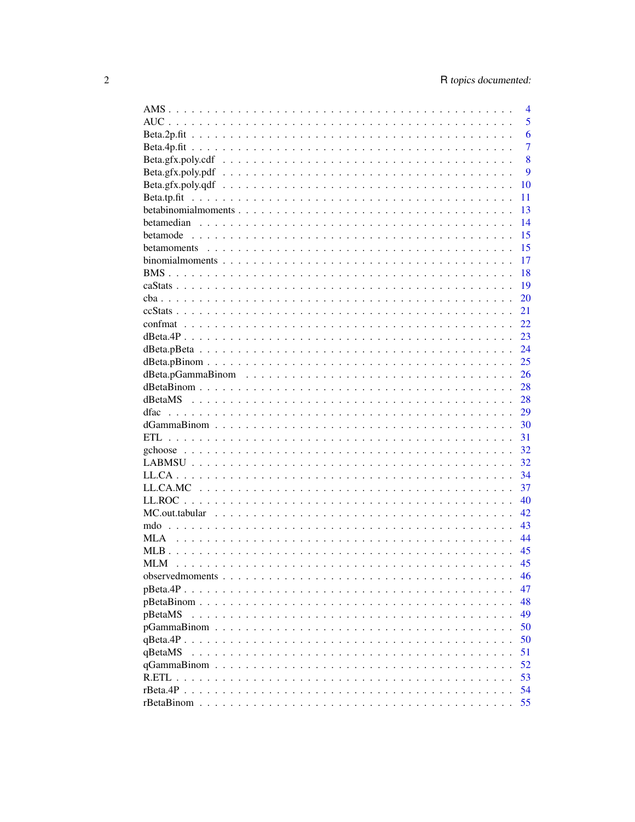|            | 4              |
|------------|----------------|
|            | 5              |
|            | 6              |
|            | $\overline{7}$ |
|            | 8              |
|            | 9              |
|            | 10             |
|            | 11             |
|            | 13             |
|            | 14             |
|            | 15             |
|            | 15             |
|            | 17             |
|            | 18             |
|            | 19             |
|            | 20             |
|            | 21             |
|            | 22             |
|            | 23             |
|            | 24             |
|            |                |
|            | 25             |
|            | 26             |
|            | 28             |
| dBetaMS    | 28             |
| dfac       | 29             |
|            | 30             |
| ETL.       | 31             |
|            | 32             |
|            | 32             |
|            | 34             |
|            | 37             |
|            | 40             |
|            | 42             |
|            | 43             |
| <b>MLA</b> | 44             |
|            | 45             |
|            | 45             |
|            | 46             |
|            | 47             |
|            | 48             |
| pBetaMS    | 49             |
|            | 50             |
|            | 50             |
| qBetaMS    | 51             |
|            | 52             |
|            | 53             |
|            | 54             |
|            | 55             |
|            |                |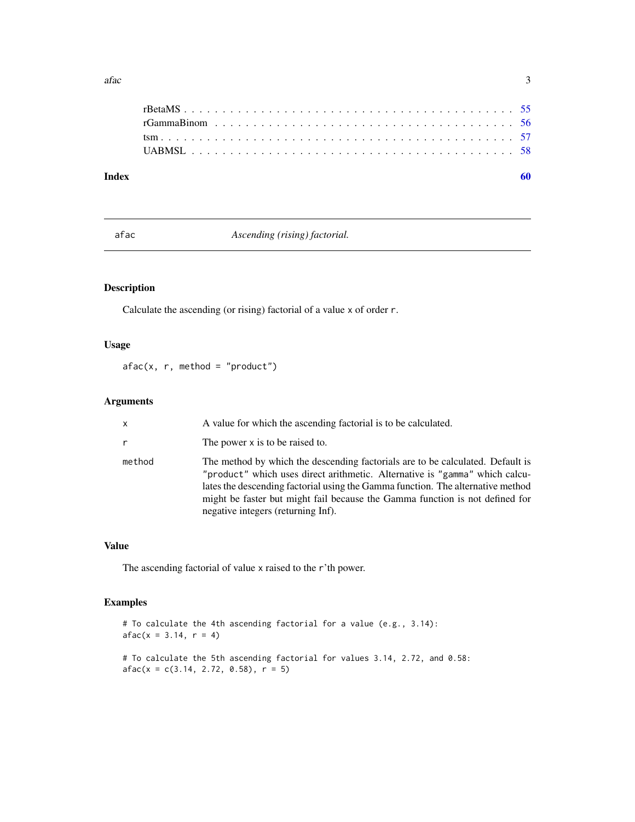<span id="page-2-0"></span> $\int$  3 aface 3 3 3 3 3 3 3 3 3 3 3 4  $\int$  3 3 4  $\int$  3 3 4  $\int$  3 3 4  $\int$  3 3 4  $\int$  3  $\int$  3  $\int$  3  $\int$  3  $\int$  4  $\int$  4  $\int$  5  $\int$  5  $\int$  5  $\int$  5  $\int$  5  $\int$  5  $\int$  5  $\int$  5  $\int$  5  $\int$  5  $\int$  5  $\int$  5  $\int$  5  $\int$  5

| Index |  |
|-------|--|
|       |  |
|       |  |
|       |  |
|       |  |
|       |  |

afac *Ascending (rising) factorial.*

### Description

Calculate the ascending (or rising) factorial of a value x of order r.

### Usage

 $afac(x, r, method = "product")$ 

### Arguments

| $\mathsf{x}$ | A value for which the ascending factorial is to be calculated.                                                                                                                                                                                                                                                                                                         |
|--------------|------------------------------------------------------------------------------------------------------------------------------------------------------------------------------------------------------------------------------------------------------------------------------------------------------------------------------------------------------------------------|
| $\mathsf{r}$ | The power x is to be raised to.                                                                                                                                                                                                                                                                                                                                        |
| method       | The method by which the descending factorials are to be calculated. Default is<br>"product" which uses direct arithmetic. Alternative is "gamma" which calcu-<br>lates the descending factorial using the Gamma function. The alternative method<br>might be faster but might fail because the Gamma function is not defined for<br>negative integers (returning Inf). |

### Value

The ascending factorial of value x raised to the r'th power.

### Examples

# To calculate the 4th ascending factorial for a value (e.g., 3.14):  $afac(x = 3.14, r = 4)$ # To calculate the 5th ascending factorial for values 3.14, 2.72, and 0.58:  $afac(x = c(3.14, 2.72, 0.58), r = 5)$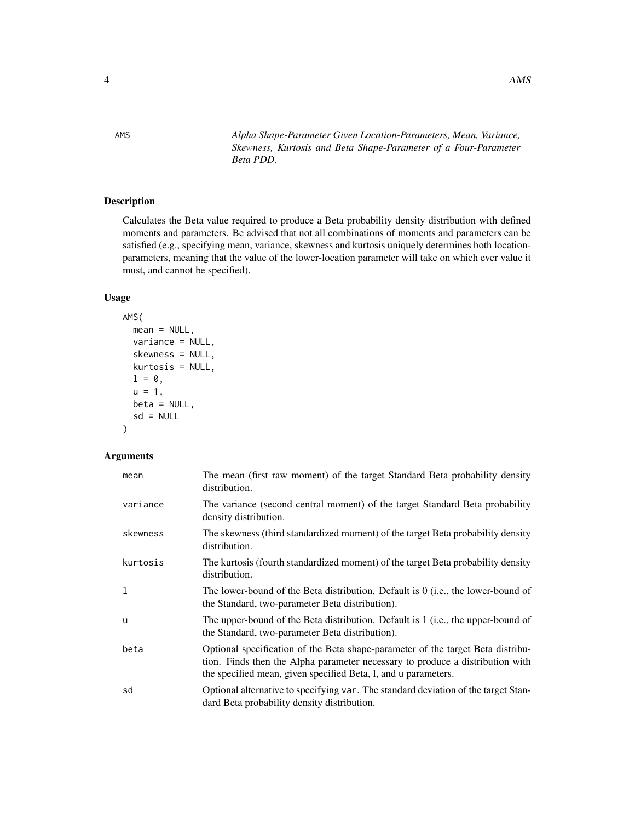<span id="page-3-0"></span>AMS *Alpha Shape-Parameter Given Location-Parameters, Mean, Variance, Skewness, Kurtosis and Beta Shape-Parameter of a Four-Parameter Beta PDD.*

### Description

Calculates the Beta value required to produce a Beta probability density distribution with defined moments and parameters. Be advised that not all combinations of moments and parameters can be satisfied (e.g., specifying mean, variance, skewness and kurtosis uniquely determines both locationparameters, meaning that the value of the lower-location parameter will take on which ever value it must, and cannot be specified).

### Usage

```
AMS(
  mean = NULL,
  variance = NULL,
  skewness = NULL,
  kurtosis = NULL,
  l = \emptyset,
  u = 1,beta = NULL,
  sd = NULL)
```

| mean     | The mean (first raw moment) of the target Standard Beta probability density<br>distribution.                                                                                                                                       |
|----------|------------------------------------------------------------------------------------------------------------------------------------------------------------------------------------------------------------------------------------|
| variance | The variance (second central moment) of the target Standard Beta probability<br>density distribution.                                                                                                                              |
| skewness | The skewness (third standardized moment) of the target Beta probability density<br>distribution.                                                                                                                                   |
| kurtosis | The kurtosis (fourth standardized moment) of the target Beta probability density<br>distribution.                                                                                                                                  |
| 1        | The lower-bound of the Beta distribution. Default is 0 (i.e., the lower-bound of<br>the Standard, two-parameter Beta distribution).                                                                                                |
| u        | The upper-bound of the Beta distribution. Default is 1 (i.e., the upper-bound of<br>the Standard, two-parameter Beta distribution).                                                                                                |
| beta     | Optional specification of the Beta shape-parameter of the target Beta distribu-<br>tion. Finds then the Alpha parameter necessary to produce a distribution with<br>the specified mean, given specified Beta, l, and u parameters. |
| sd       | Optional alternative to specifying var. The standard deviation of the target Stan-<br>dard Beta probability density distribution.                                                                                                  |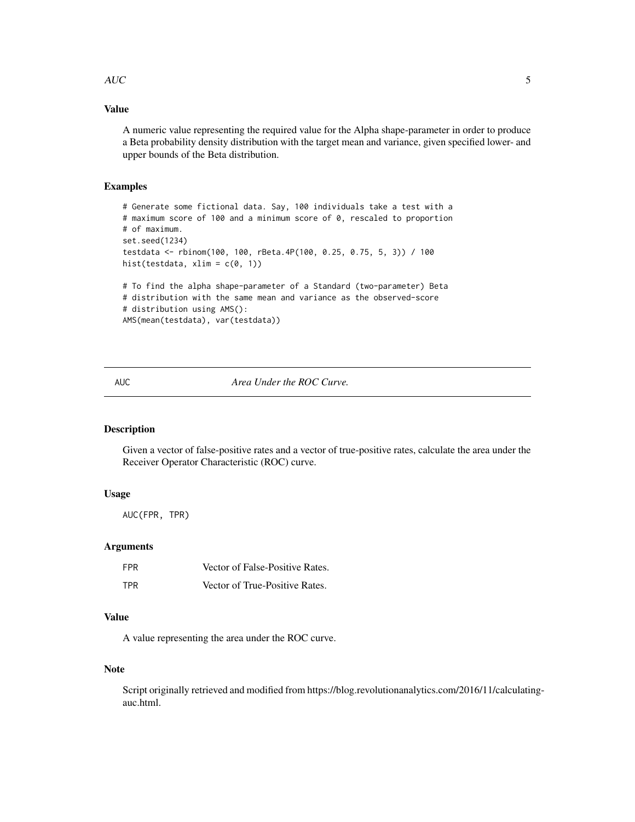#### <span id="page-4-0"></span> $AUC$  5

### Value

A numeric value representing the required value for the Alpha shape-parameter in order to produce a Beta probability density distribution with the target mean and variance, given specified lower- and upper bounds of the Beta distribution.

### Examples

```
# Generate some fictional data. Say, 100 individuals take a test with a
# maximum score of 100 and a minimum score of 0, rescaled to proportion
# of maximum.
set.seed(1234)
testdata <- rbinom(100, 100, rBeta.4P(100, 0.25, 0.75, 5, 3)) / 100
hist(testdata, xlim = c(\theta, 1))
# To find the alpha shape-parameter of a Standard (two-parameter) Beta
# distribution with the same mean and variance as the observed-score
# distribution using AMS():
AMS(mean(testdata), var(testdata))
```
### AUC *Area Under the ROC Curve.*

## Description

Given a vector of false-positive rates and a vector of true-positive rates, calculate the area under the Receiver Operator Characteristic (ROC) curve.

#### Usage

AUC(FPR, TPR)

#### **Arguments**

| FPR | Vector of False-Positive Rates. |
|-----|---------------------------------|
| TPR | Vector of True-Positive Rates.  |

### Value

A value representing the area under the ROC curve.

### Note

Script originally retrieved and modified from https://blog.revolutionanalytics.com/2016/11/calculatingauc.html.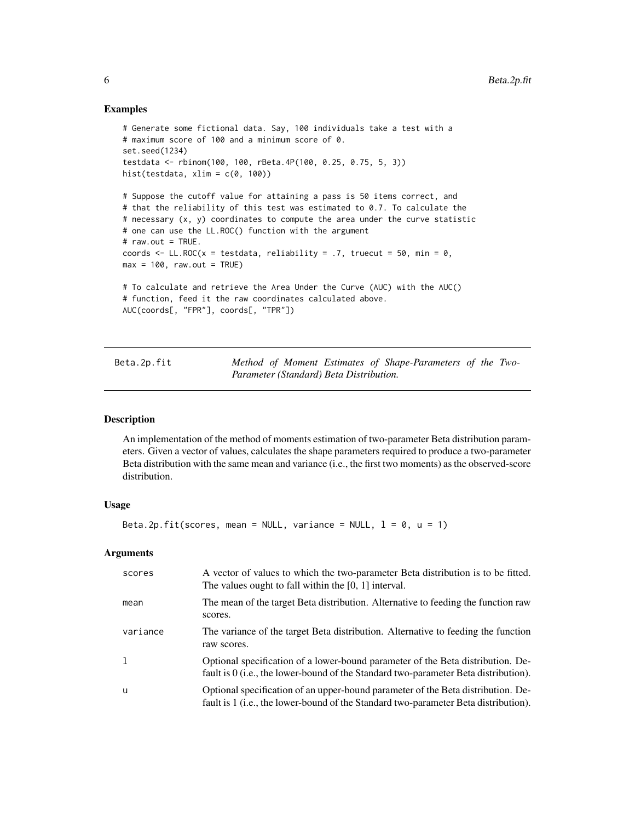#### Examples

```
# Generate some fictional data. Say, 100 individuals take a test with a
# maximum score of 100 and a minimum score of 0.
set.seed(1234)
testdata <- rbinom(100, 100, rBeta.4P(100, 0.25, 0.75, 5, 3))
hist(testdata, xlim = c(\theta, 100))
# Suppose the cutoff value for attaining a pass is 50 items correct, and
# that the reliability of this test was estimated to 0.7. To calculate the
# necessary (x, y) coordinates to compute the area under the curve statistic
# one can use the LL.ROC() function with the argument
# raw.out = TRUE.
coords \leq LL.ROC(x = testdata, reliability = .7, truecut = 50, min = 0,
max = 100, raw.out = TRUE)
# To calculate and retrieve the Area Under the Curve (AUC) with the AUC()
# function, feed it the raw coordinates calculated above.
AUC(coords[, "FPR"], coords[, "TPR"])
```

| Beta.2p.fit |                                         | Method of Moment Estimates of Shape-Parameters of the Two- |  |
|-------------|-----------------------------------------|------------------------------------------------------------|--|
|             | Parameter (Standard) Beta Distribution. |                                                            |  |

#### Description

An implementation of the method of moments estimation of two-parameter Beta distribution parameters. Given a vector of values, calculates the shape parameters required to produce a two-parameter Beta distribution with the same mean and variance (i.e., the first two moments) as the observed-score distribution.

#### Usage

```
Beta.2p.fit(scores, mean = NULL, variance = NULL, l = 0, u = 1)
```

| scores   | A vector of values to which the two-parameter Beta distribution is to be fitted.<br>The values ought to fall within the $[0, 1]$ interval.                                       |
|----------|----------------------------------------------------------------------------------------------------------------------------------------------------------------------------------|
| mean     | The mean of the target Beta distribution. Alternative to feeding the function raw<br>scores.                                                                                     |
| variance | The variance of the target Beta distribution. Alternative to feeding the function<br>raw scores.                                                                                 |
|          | Optional specification of a lower-bound parameter of the Beta distribution. De-<br>fault is 0 (i.e., the lower-bound of the Standard two-parameter Beta distribution).           |
| u        | Optional specification of an upper-bound parameter of the Beta distribution. De-<br>fault is 1 ( <i>i.e.</i> , the lower-bound of the Standard two-parameter Beta distribution). |

<span id="page-5-0"></span>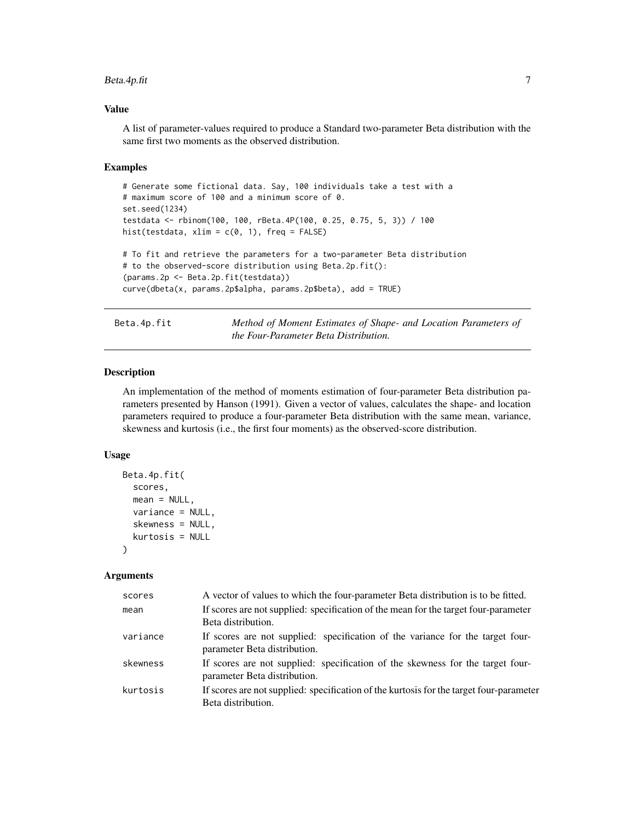### <span id="page-6-0"></span>Beta.4p.fit 7

### Value

A list of parameter-values required to produce a Standard two-parameter Beta distribution with the same first two moments as the observed distribution.

#### Examples

```
# Generate some fictional data. Say, 100 individuals take a test with a
# maximum score of 100 and a minimum score of 0.
set.seed(1234)
testdata <- rbinom(100, 100, rBeta.4P(100, 0.25, 0.75, 5, 3)) / 100
hist(testdata, xlim = c(0, 1), freq = FALSE)
# To fit and retrieve the parameters for a two-parameter Beta distribution
# to the observed-score distribution using Beta.2p.fit():
(params.2p <- Beta.2p.fit(testdata))
curve(dbeta(x, params.2p$alpha, params.2p$beta), add = TRUE)
```
Beta.4p.fit *Method of Moment Estimates of Shape- and Location Parameters of the Four-Parameter Beta Distribution.*

#### Description

An implementation of the method of moments estimation of four-parameter Beta distribution parameters presented by Hanson (1991). Given a vector of values, calculates the shape- and location parameters required to produce a four-parameter Beta distribution with the same mean, variance, skewness and kurtosis (i.e., the first four moments) as the observed-score distribution.

#### Usage

```
Beta.4p.fit(
  scores,
  mean = NULL,variance = NULL,
  skewness = NULL,
  kurtosis = NULL
)
```

| scores   | A vector of values to which the four-parameter Beta distribution is to be fitted.                              |
|----------|----------------------------------------------------------------------------------------------------------------|
| mean     | If scores are not supplied: specification of the mean for the target four-parameter<br>Beta distribution.      |
| variance | If scores are not supplied: specification of the variance for the target four-<br>parameter Beta distribution. |
| skewness | If scores are not supplied: specification of the skewness for the target four-<br>parameter Beta distribution. |
| kurtosis | If scores are not supplied: specification of the kurtosis for the target four-parameter<br>Beta distribution.  |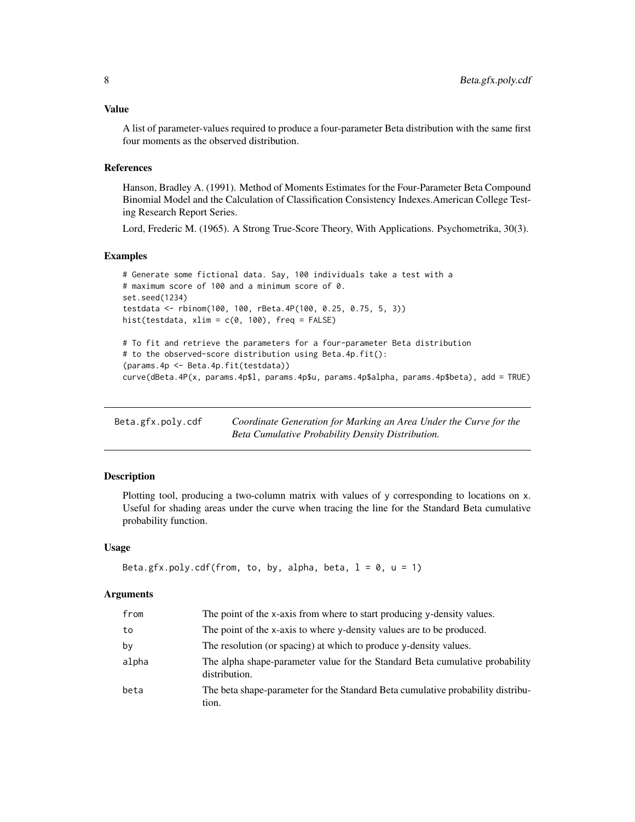<span id="page-7-0"></span>A list of parameter-values required to produce a four-parameter Beta distribution with the same first four moments as the observed distribution.

#### References

Hanson, Bradley A. (1991). Method of Moments Estimates for the Four-Parameter Beta Compound Binomial Model and the Calculation of Classification Consistency Indexes.American College Testing Research Report Series.

Lord, Frederic M. (1965). A Strong True-Score Theory, With Applications. Psychometrika, 30(3).

#### Examples

```
# Generate some fictional data. Say, 100 individuals take a test with a
# maximum score of 100 and a minimum score of 0.
set.seed(1234)
testdata <- rbinom(100, 100, rBeta.4P(100, 0.25, 0.75, 5, 3))
hist(testdata, xlim = c(0, 100), freq = FALSE)
# To fit and retrieve the parameters for a four-parameter Beta distribution
# to the observed-score distribution using Beta.4p.fit():
(params.4p <- Beta.4p.fit(testdata))
curve(dBeta.4P(x, params.4p$l, params.4p$u, params.4p$alpha, params.4p$beta), add = TRUE)
```

| Beta.gfx.poly.cdf | Coordinate Generation for Marking an Area Under the Curve for the |
|-------------------|-------------------------------------------------------------------|
|                   | Beta Cumulative Probability Density Distribution.                 |

#### **Description**

Plotting tool, producing a two-column matrix with values of y corresponding to locations on x. Useful for shading areas under the curve when tracing the line for the Standard Beta cumulative probability function.

### Usage

```
Beta.gfx.poly.cdf(from, to, by, alpha, beta, l = 0, u = 1)
```

| from  | The point of the x-axis from where to start producing y-density values.                       |
|-------|-----------------------------------------------------------------------------------------------|
| to    | The point of the x-axis to where y-density values are to be produced.                         |
| bv    | The resolution (or spacing) at which to produce y-density values.                             |
| alpha | The alpha shape-parameter value for the Standard Beta cumulative probability<br>distribution. |
| beta  | The beta shape-parameter for the Standard Beta cumulative probability distribu-<br>tion.      |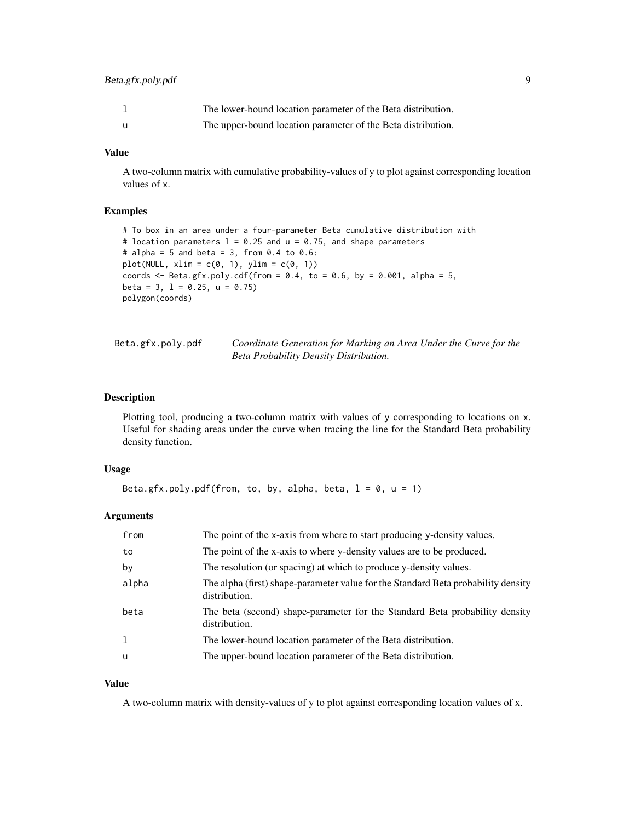### <span id="page-8-0"></span>Beta.gfx.poly.pdf 9

|     | The lower-bound location parameter of the Beta distribution. |
|-----|--------------------------------------------------------------|
| - u | The upper-bound location parameter of the Beta distribution. |

### Value

A two-column matrix with cumulative probability-values of y to plot against corresponding location values of x.

### Examples

```
# To box in an area under a four-parameter Beta cumulative distribution with
# location parameters 1 = 0.25 and u = 0.75, and shape parameters
# alpha = 5 and beta = 3, from 0.4 to 0.6:
plot(NULL, xlim = c(0, 1), ylim = c(0, 1))coords \leq Beta.gfx.poly.cdf(from = 0.4, to = 0.6, by = 0.001, alpha = 5,
beta = 3, 1 = 0.25, u = 0.75)
polygon(coords)
```

| Beta.gfx.poly.pdf | Coordinate Generation for Marking an Area Under the Curve for the |
|-------------------|-------------------------------------------------------------------|
|                   | Beta Probability Density Distribution.                            |

#### Description

Plotting tool, producing a two-column matrix with values of y corresponding to locations on x. Useful for shading areas under the curve when tracing the line for the Standard Beta probability density function.

#### Usage

```
Beta.gfx.poly.pdf(from, to, by, alpha, beta, l = 0, u = 1)
```
### Arguments

| from     | The point of the x-axis from where to start producing y-density values.                            |
|----------|----------------------------------------------------------------------------------------------------|
| to       | The point of the x-axis to where y-density values are to be produced.                              |
| by       | The resolution (or spacing) at which to produce y-density values.                                  |
| alpha    | The alpha (first) shape-parameter value for the Standard Beta probability density<br>distribution. |
| beta     | The beta (second) shape-parameter for the Standard Beta probability density<br>distribution.       |
| 1        | The lower-bound location parameter of the Beta distribution.                                       |
| <b>u</b> | The upper-bound location parameter of the Beta distribution.                                       |

### Value

A two-column matrix with density-values of y to plot against corresponding location values of x.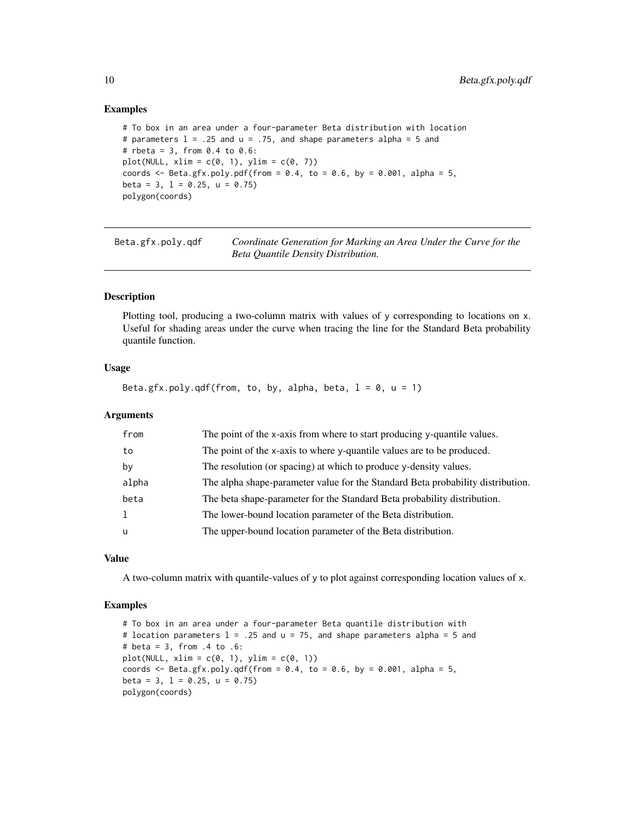#### Examples

```
# To box in an area under a four-parameter Beta distribution with location
# parameters 1 = .25 and u = .75, and shape parameters alpha = 5 and
# rbeta = 3, from 0.4 to 0.6:
plot(NULL, xlim = c(0, 1), ylim = c(0, 7))
coords \leq Beta.gfx.poly.pdf(from = 0.4, to = 0.6, by = 0.001, alpha = 5,
beta = 3, 1 = 0.25, u = 0.75)
polygon(coords)
```
Beta.gfx.poly.qdf *Coordinate Generation for Marking an Area Under the Curve for the Beta Quantile Density Distribution.*

### Description

Plotting tool, producing a two-column matrix with values of y corresponding to locations on x. Useful for shading areas under the curve when tracing the line for the Standard Beta probability quantile function.

#### Usage

Beta.gfx.poly.qdf(from, to, by, alpha, beta,  $l = 0$ ,  $u = 1$ )

#### **Arguments**

| from     | The point of the x-axis from where to start producing y-quantile values.        |
|----------|---------------------------------------------------------------------------------|
| to       | The point of the x-axis to where y-quantile values are to be produced.          |
| by       | The resolution (or spacing) at which to produce y-density values.               |
| alpha    | The alpha shape-parameter value for the Standard Beta probability distribution. |
| beta     | The beta shape-parameter for the Standard Beta probability distribution.        |
| 1        | The lower-bound location parameter of the Beta distribution.                    |
| <b>u</b> | The upper-bound location parameter of the Beta distribution.                    |
|          |                                                                                 |

### Value

A two-column matrix with quantile-values of y to plot against corresponding location values of x.

### Examples

# To box in an area under a four-parameter Beta quantile distribution with # location parameters  $l = .25$  and  $u = 75$ , and shape parameters alpha = 5 and # beta = 3, from .4 to .6:  $plot(NULL, xlim = c(0, 1), ylim = c(0, 1))$ coords  $\leq$  Beta.gfx.poly.qdf(from = 0.4, to = 0.6, by = 0.001, alpha = 5, beta = 3,  $1 = 0.25$ ,  $u = 0.75$ ) polygon(coords)

<span id="page-9-0"></span>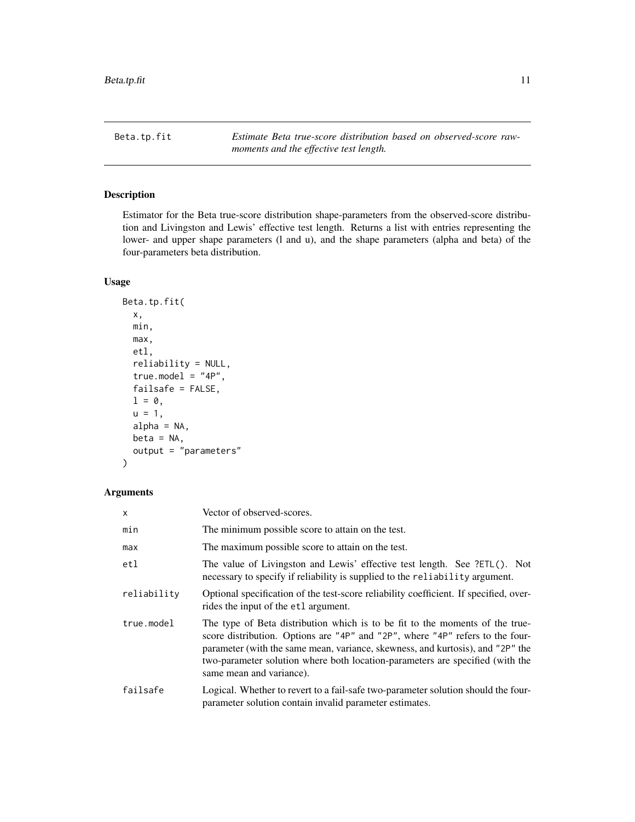<span id="page-10-0"></span>Beta.tp.fit *Estimate Beta true-score distribution based on observed-score rawmoments and the effective test length.*

### Description

Estimator for the Beta true-score distribution shape-parameters from the observed-score distribution and Livingston and Lewis' effective test length. Returns a list with entries representing the lower- and upper shape parameters (l and u), and the shape parameters (alpha and beta) of the four-parameters beta distribution.

#### Usage

```
Beta.tp.fit(
  x,
 min,
 max,
  etl,
  reliability = NULL,
  true_model = "4P",failsafe = FALSE,
  l = \emptyset,
  u = 1,
  alpha = NA,
 beta = NA,
  output = "parameters"
)
```

| x           | Vector of observed-scores.                                                                                                                                                                                                                                                                                                                                   |
|-------------|--------------------------------------------------------------------------------------------------------------------------------------------------------------------------------------------------------------------------------------------------------------------------------------------------------------------------------------------------------------|
| min         | The minimum possible score to attain on the test.                                                                                                                                                                                                                                                                                                            |
| max         | The maximum possible score to attain on the test.                                                                                                                                                                                                                                                                                                            |
| etl         | The value of Livingston and Lewis' effective test length. See ?ETL(). Not<br>necessary to specify if reliability is supplied to the reliability argument.                                                                                                                                                                                                    |
| reliability | Optional specification of the test-score reliability coefficient. If specified, over-<br>rides the input of the etl argument.                                                                                                                                                                                                                                |
| true.model  | The type of Beta distribution which is to be fit to the moments of the true-<br>score distribution. Options are "4P" and "2P", where "4P" refers to the four-<br>parameter (with the same mean, variance, skewness, and kurtosis), and "2P" the<br>two-parameter solution where both location-parameters are specified (with the<br>same mean and variance). |
| failsafe    | Logical. Whether to revert to a fail-safe two-parameter solution should the four-<br>parameter solution contain invalid parameter estimates.                                                                                                                                                                                                                 |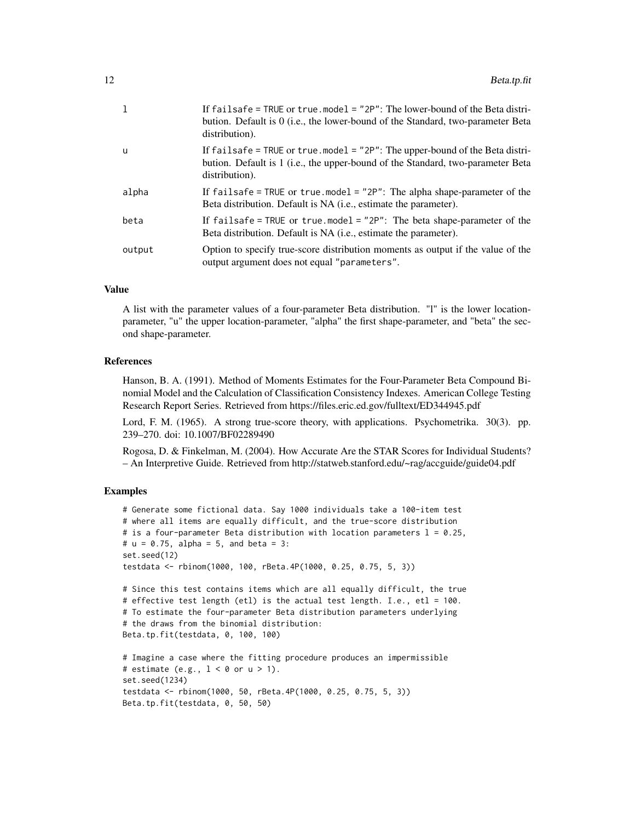|        | If failsafe = TRUE or true model = $"2P"$ : The lower-bound of the Beta distri-<br>bution. Default is 0 ( <i>i.e.</i> , the lower-bound of the Standard, two-parameter Beta<br>distribution). |
|--------|-----------------------------------------------------------------------------------------------------------------------------------------------------------------------------------------------|
| u      | If failsafe = TRUE or true.model = "2P": The upper-bound of the Beta distri-<br>bution. Default is 1 (i.e., the upper-bound of the Standard, two-parameter Beta<br>distribution).             |
| alpha  | If failsafe = TRUE or true model = "2P": The alpha shape-parameter of the<br>Beta distribution. Default is NA ( <i>i.e.</i> , estimate the parameter).                                        |
| beta   | If failsafe = TRUE or true.model = "2P": The beta shape-parameter of the<br>Beta distribution. Default is NA ( <i>i.e.</i> , estimate the parameter).                                         |
| output | Option to specify true-score distribution moments as output if the value of the<br>output argument does not equal "parameters".                                                               |

#### Value

A list with the parameter values of a four-parameter Beta distribution. "l" is the lower locationparameter, "u" the upper location-parameter, "alpha" the first shape-parameter, and "beta" the second shape-parameter.

#### References

Hanson, B. A. (1991). Method of Moments Estimates for the Four-Parameter Beta Compound Binomial Model and the Calculation of Classification Consistency Indexes. American College Testing Research Report Series. Retrieved from https://files.eric.ed.gov/fulltext/ED344945.pdf

Lord, F. M. (1965). A strong true-score theory, with applications. Psychometrika. 30(3). pp. 239–270. doi: 10.1007/BF02289490

Rogosa, D. & Finkelman, M. (2004). How Accurate Are the STAR Scores for Individual Students? – An Interpretive Guide. Retrieved from http://statweb.stanford.edu/~rag/accguide/guide04.pdf

```
# Generate some fictional data. Say 1000 individuals take a 100-item test
# where all items are equally difficult, and the true-score distribution
# is a four-parameter Beta distribution with location parameters l = 0.25,
# u = 0.75, alpha = 5, and beta = 3:
set.seed(12)
testdata <- rbinom(1000, 100, rBeta.4P(1000, 0.25, 0.75, 5, 3))
# Since this test contains items which are all equally difficult, the true
# effective test length (etl) is the actual test length. I.e., etl = 100.
# To estimate the four-parameter Beta distribution parameters underlying
# the draws from the binomial distribution:
Beta.tp.fit(testdata, 0, 100, 100)
# Imagine a case where the fitting procedure produces an impermissible
# estimate (e.g., 1 < \theta or u > 1).
set.seed(1234)
testdata <- rbinom(1000, 50, rBeta.4P(1000, 0.25, 0.75, 5, 3))
Beta.tp.fit(testdata, 0, 50, 50)
```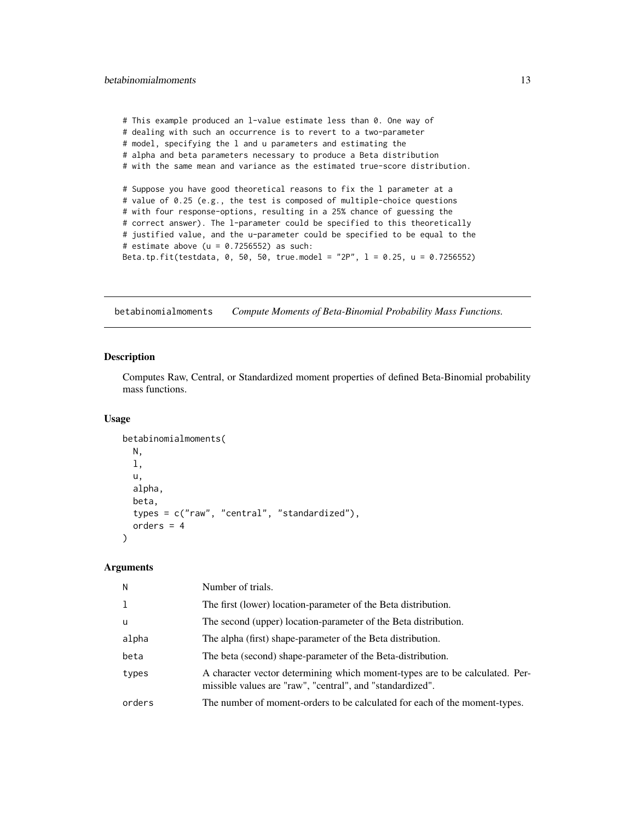```
# This example produced an l-value estimate less than 0. One way of
# dealing with such an occurrence is to revert to a two-parameter
# model, specifying the l and u parameters and estimating the
# alpha and beta parameters necessary to produce a Beta distribution
# with the same mean and variance as the estimated true-score distribution.
# Suppose you have good theoretical reasons to fix the l parameter at a
# value of 0.25 (e.g., the test is composed of multiple-choice questions
# with four response-options, resulting in a 25% chance of guessing the
# correct answer). The l-parameter could be specified to this theoretically
# justified value, and the u-parameter could be specified to be equal to the
# estimate above (u = 0.7256552) as such:
Beta.tp.fit(testdata, 0, 50, 50, true.model = "2P", l = 0.25, u = 0.7256552)
```
betabinomialmoments *Compute Moments of Beta-Binomial Probability Mass Functions.*

### Description

Computes Raw, Central, or Standardized moment properties of defined Beta-Binomial probability mass functions.

#### Usage

```
betabinomialmoments(
 N,
  l,
 u,
  alpha,
 beta,
  types = c("raw", "central", "standardized"),
  orders = 4)
```

| N      | Number of trials.                                                                                                                         |
|--------|-------------------------------------------------------------------------------------------------------------------------------------------|
| 1      | The first (lower) location-parameter of the Beta distribution.                                                                            |
| u      | The second (upper) location-parameter of the Beta distribution.                                                                           |
| alpha  | The alpha (first) shape-parameter of the Beta distribution.                                                                               |
| beta   | The beta (second) shape-parameter of the Beta-distribution.                                                                               |
| types  | A character vector determining which moment-types are to be calculated. Per-<br>missible values are "raw", "central", and "standardized". |
| orders | The number of moment-orders to be calculated for each of the moment-types.                                                                |
|        |                                                                                                                                           |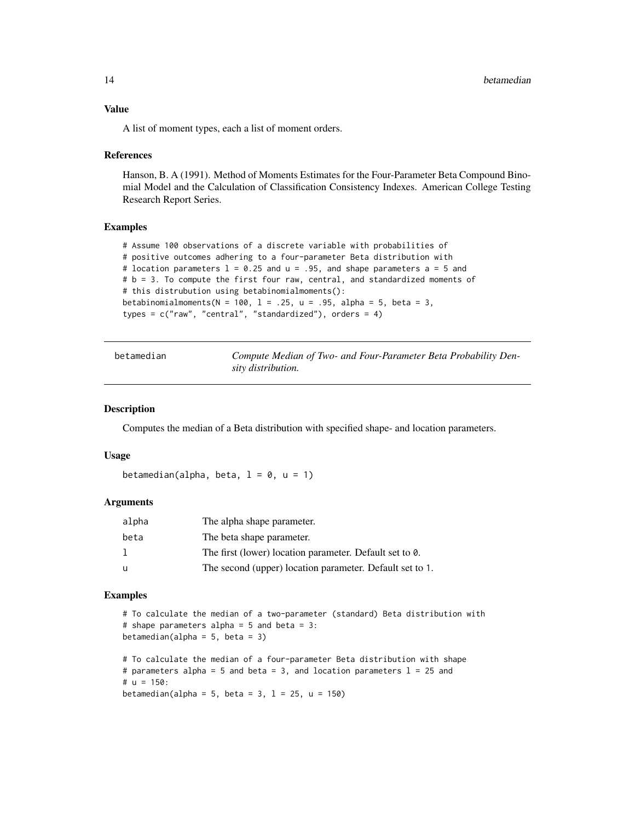#### <span id="page-13-0"></span>Value

A list of moment types, each a list of moment orders.

#### References

Hanson, B. A (1991). Method of Moments Estimates for the Four-Parameter Beta Compound Binomial Model and the Calculation of Classification Consistency Indexes. American College Testing Research Report Series.

#### Examples

```
# Assume 100 observations of a discrete variable with probabilities of
# positive outcomes adhering to a four-parameter Beta distribution with
# location parameters l = 0.25 and u = .95, and shape parameters a = 5 and
# b = 3. To compute the first four raw, central, and standardized moments of
# this distrubution using betabinomialmoments():
betabinomialmoments(N = 100, 1 = .25, u = .95, alpha = 5, beta = 3,
types = c("raw", "central", "standardized"), orders = 4)
```

| betamedian | Compute Median of Two- and Four-Parameter Beta Probability Den- |
|------------|-----------------------------------------------------------------|
|            | sity distribution.                                              |

#### Description

Computes the median of a Beta distribution with specified shape- and location parameters.

#### Usage

betamedian(alpha, beta,  $l = 0$ ,  $u = 1$ )

### Arguments

| alpha | The alpha shape parameter.                               |
|-------|----------------------------------------------------------|
| beta  | The beta shape parameter.                                |
|       | The first (lower) location parameter. Default set to 0.  |
| -u    | The second (upper) location parameter. Default set to 1. |

#### Examples

```
# To calculate the median of a two-parameter (standard) Beta distribution with
# shape parameters alpha = 5 and beta = 3:
betamedian(alpha = 5, beta = 3)
# To calculate the median of a four-parameter Beta distribution with shape
# parameters alpha = 5 and beta = 3, and location parameters l = 25 and
# u = 150:
```
betamedian(alpha = 5, beta = 3,  $l = 25$ ,  $u = 150$ )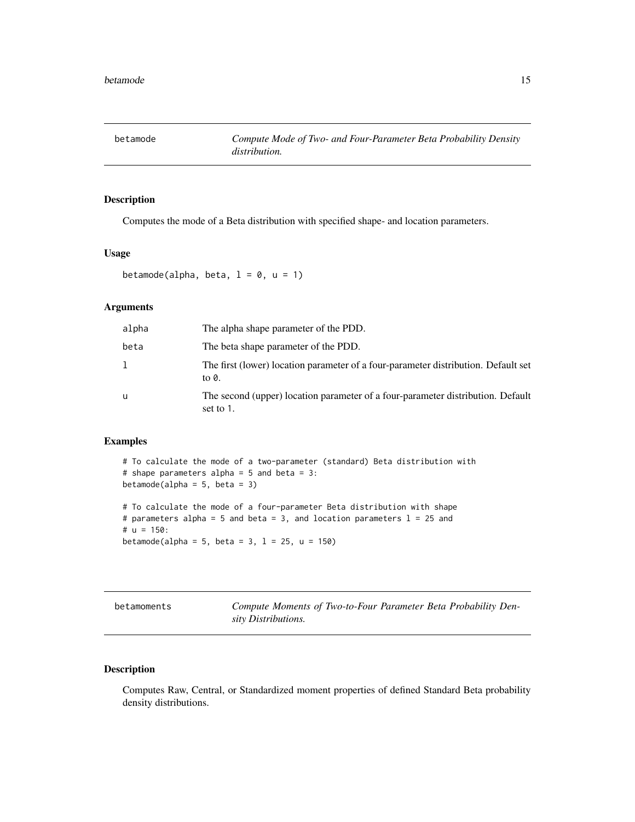<span id="page-14-0"></span>

### Description

Computes the mode of a Beta distribution with specified shape- and location parameters.

### Usage

betamode(alpha, beta,  $l = 0$ ,  $u = 1$ )

betamode(alpha = 5, beta = 3,  $l = 25$ ,  $u = 150$ )

### Arguments

| alpha | The alpha shape parameter of the PDD.                                                        |
|-------|----------------------------------------------------------------------------------------------|
| beta  | The beta shape parameter of the PDD.                                                         |
| 1     | The first (lower) location parameter of a four-parameter distribution. Default set<br>to 0.  |
| u     | The second (upper) location parameter of a four-parameter distribution. Default<br>set to 1. |

### Examples

# To calculate the mode of a two-parameter (standard) Beta distribution with # shape parameters alpha = 5 and beta = 3: betamode(alpha =  $5$ , beta =  $3$ ) # To calculate the mode of a four-parameter Beta distribution with shape # parameters alpha = 5 and beta = 3, and location parameters  $l = 25$  and #  $u = 150$ :

betamoments *Compute Moments of Two-to-Four Parameter Beta Probability Density Distributions.*

### Description

Computes Raw, Central, or Standardized moment properties of defined Standard Beta probability density distributions.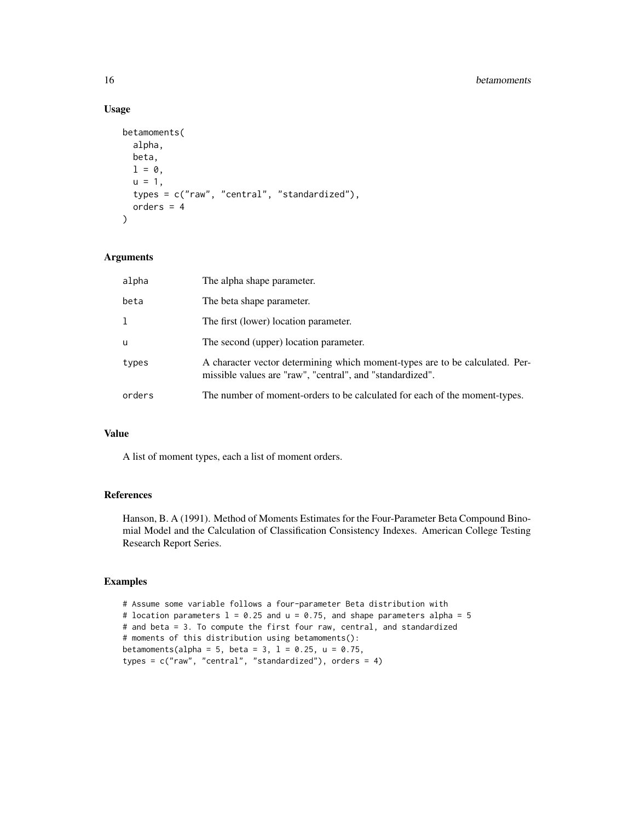### Usage

```
betamoments(
  alpha,
 beta,
 1 = 0,
 u = 1,types = c("raw", "central", "standardized"),
 orders = 4)
```
### Arguments

| alpha  | The alpha shape parameter.                                                                                                                |
|--------|-------------------------------------------------------------------------------------------------------------------------------------------|
| beta   | The beta shape parameter.                                                                                                                 |
| 1      | The first (lower) location parameter.                                                                                                     |
| u      | The second (upper) location parameter.                                                                                                    |
| types  | A character vector determining which moment-types are to be calculated. Per-<br>missible values are "raw", "central", and "standardized". |
| orders | The number of moment-orders to be calculated for each of the moment-types.                                                                |

## Value

A list of moment types, each a list of moment orders.

#### References

Hanson, B. A (1991). Method of Moments Estimates for the Four-Parameter Beta Compound Binomial Model and the Calculation of Classification Consistency Indexes. American College Testing Research Report Series.

```
# Assume some variable follows a four-parameter Beta distribution with
# location parameters 1 = 0.25 and u = 0.75, and shape parameters alpha = 5
# and beta = 3. To compute the first four raw, central, and standardized
# moments of this distribution using betamoments():
betamoments(alpha = 5, beta = 3, l = 0.25, u = 0.75,
types = c("raw", "central", "standardized"), orders = 4)
```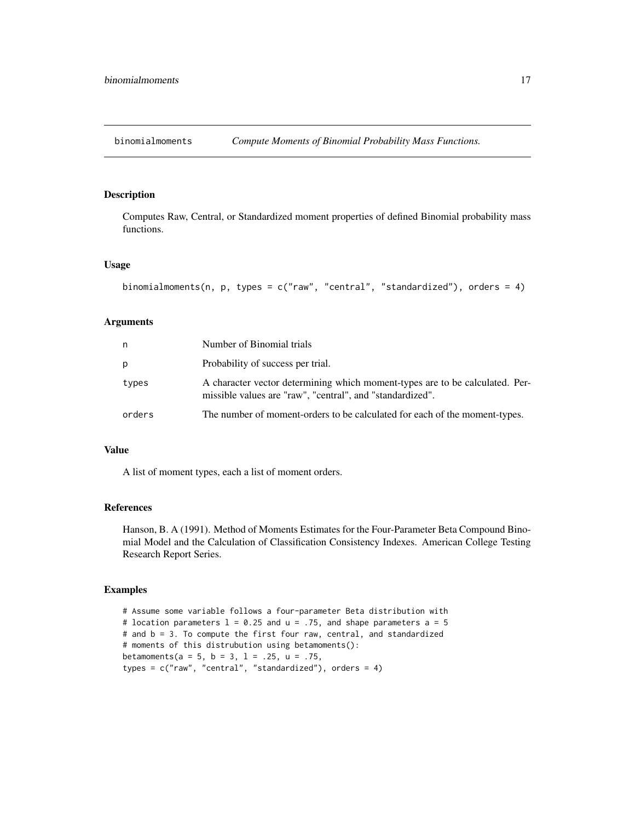<span id="page-16-0"></span>

### Description

Computes Raw, Central, or Standardized moment properties of defined Binomial probability mass functions.

#### Usage

```
binomialmoments(n, p, types = c("raw", "central", "standardized"), orders = 4)
```
### Arguments

| n      | Number of Binomial trials                                                                                                                 |
|--------|-------------------------------------------------------------------------------------------------------------------------------------------|
| p      | Probability of success per trial.                                                                                                         |
| types  | A character vector determining which moment-types are to be calculated. Per-<br>missible values are "raw", "central", and "standardized". |
| orders | The number of moment-orders to be calculated for each of the moment-types.                                                                |

### Value

A list of moment types, each a list of moment orders.

### References

Hanson, B. A (1991). Method of Moments Estimates for the Four-Parameter Beta Compound Binomial Model and the Calculation of Classification Consistency Indexes. American College Testing Research Report Series.

### Examples

# Assume some variable follows a four-parameter Beta distribution with # location parameters  $1 = 0.25$  and  $u = .75$ , and shape parameters a = 5 # and b = 3. To compute the first four raw, central, and standardized # moments of this distrubution using betamoments(): betamoments(a = 5, b = 3, 1 = .25, u = .75, types = c("raw", "central", "standardized"), orders = 4)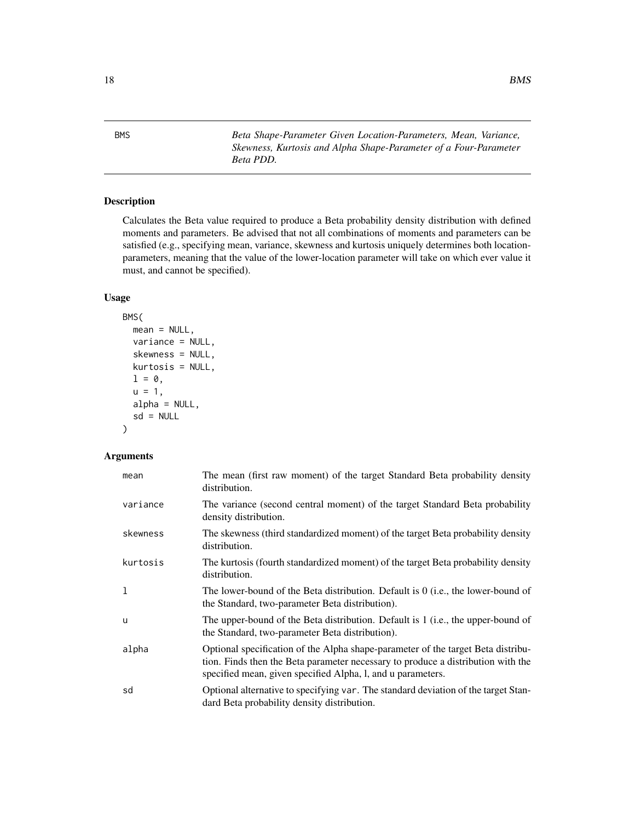<span id="page-17-0"></span>BMS *Beta Shape-Parameter Given Location-Parameters, Mean, Variance, Skewness, Kurtosis and Alpha Shape-Parameter of a Four-Parameter Beta PDD.*

### Description

Calculates the Beta value required to produce a Beta probability density distribution with defined moments and parameters. Be advised that not all combinations of moments and parameters can be satisfied (e.g., specifying mean, variance, skewness and kurtosis uniquely determines both locationparameters, meaning that the value of the lower-location parameter will take on which ever value it must, and cannot be specified).

### Usage

```
BMS(
  mean = NULL,
  variance = NULL,
  skewness = NULL,
  kurtosis = NULL,
  l = \emptyset,
  u = 1,alpha = NULL,
  sd = NULL)
```

| mean     | The mean (first raw moment) of the target Standard Beta probability density<br>distribution.                                                                                                                                        |
|----------|-------------------------------------------------------------------------------------------------------------------------------------------------------------------------------------------------------------------------------------|
| variance | The variance (second central moment) of the target Standard Beta probability<br>density distribution.                                                                                                                               |
| skewness | The skewness (third standardized moment) of the target Beta probability density<br>distribution.                                                                                                                                    |
| kurtosis | The kurtosis (fourth standardized moment) of the target Beta probability density<br>distribution.                                                                                                                                   |
| 1        | The lower-bound of the Beta distribution. Default is $0$ (i.e., the lower-bound of<br>the Standard, two-parameter Beta distribution).                                                                                               |
| u        | The upper-bound of the Beta distribution. Default is 1 (i.e., the upper-bound of<br>the Standard, two-parameter Beta distribution).                                                                                                 |
| alpha    | Optional specification of the Alpha shape-parameter of the target Beta distribu-<br>tion. Finds then the Beta parameter necessary to produce a distribution with the<br>specified mean, given specified Alpha, l, and u parameters. |
| sd       | Optional alternative to specifying var. The standard deviation of the target Stan-<br>dard Beta probability density distribution.                                                                                                   |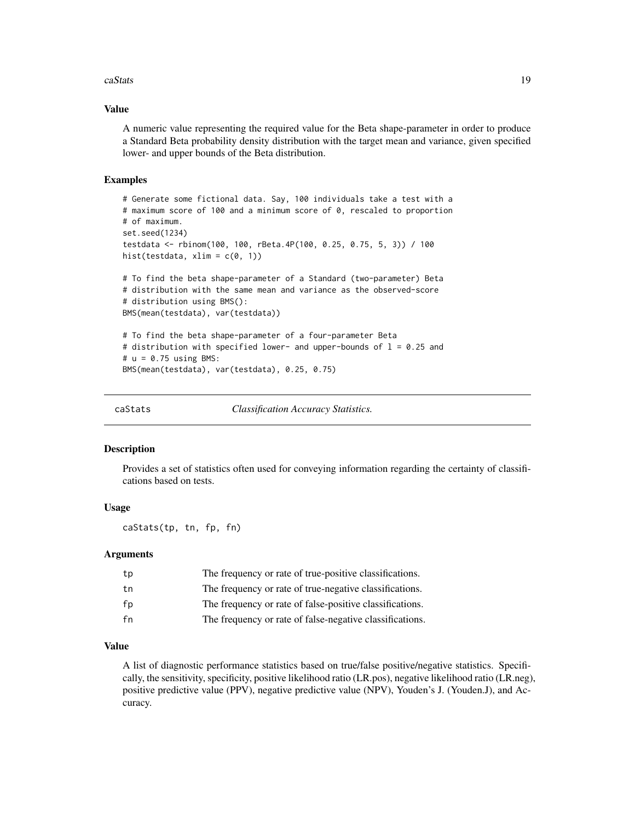#### <span id="page-18-0"></span>caStats 19

### Value

A numeric value representing the required value for the Beta shape-parameter in order to produce a Standard Beta probability density distribution with the target mean and variance, given specified lower- and upper bounds of the Beta distribution.

#### Examples

```
# Generate some fictional data. Say, 100 individuals take a test with a
# maximum score of 100 and a minimum score of 0, rescaled to proportion
# of maximum.
set.seed(1234)
testdata <- rbinom(100, 100, rBeta.4P(100, 0.25, 0.75, 5, 3)) / 100
hist(testdata, xlim = c(\theta, 1))
# To find the beta shape-parameter of a Standard (two-parameter) Beta
# distribution with the same mean and variance as the observed-score
# distribution using BMS():
BMS(mean(testdata), var(testdata))
# To find the beta shape-parameter of a four-parameter Beta
# distribution with specified lower- and upper-bounds of l = 0.25 and
# u = 0.75 using BMS:
BMS(mean(testdata), var(testdata), 0.25, 0.75)
```

```
caStats Classification Accuracy Statistics.
```
#### Description

Provides a set of statistics often used for conveying information regarding the certainty of classifications based on tests.

### Usage

caStats(tp, tn, fp, fn)

#### Arguments

| tp | The frequency or rate of true-positive classifications.  |
|----|----------------------------------------------------------|
| tn | The frequency or rate of true-negative classifications.  |
| fp | The frequency or rate of false-positive classifications. |
| fn | The frequency or rate of false-negative classifications. |

### Value

A list of diagnostic performance statistics based on true/false positive/negative statistics. Specifically, the sensitivity, specificity, positive likelihood ratio (LR.pos), negative likelihood ratio (LR.neg), positive predictive value (PPV), negative predictive value (NPV), Youden's J. (Youden.J), and Accuracy.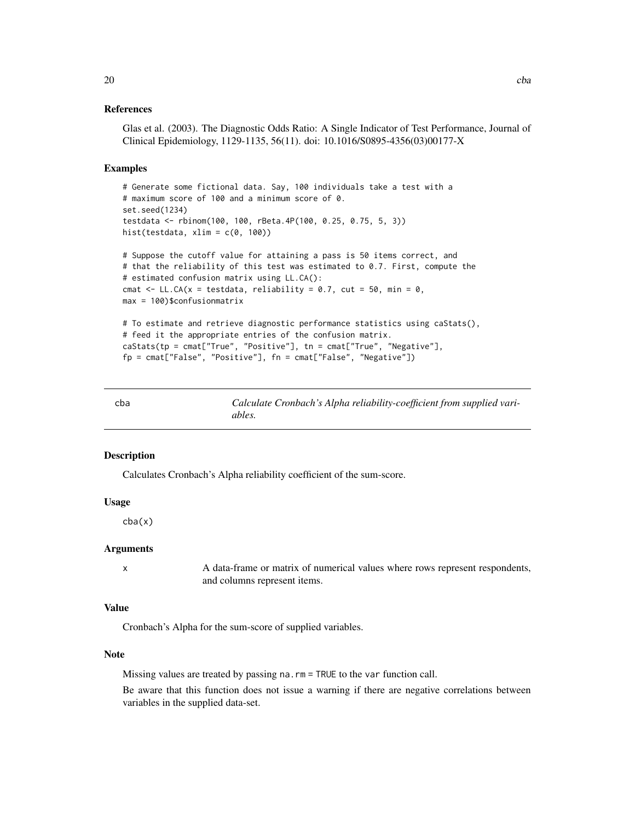#### <span id="page-19-0"></span>References

```
Glas et al. (2003). The Diagnostic Odds Ratio: A Single Indicator of Test Performance, Journal of
Clinical Epidemiology, 1129-1135, 56(11). doi: 10.1016/S0895-4356(03)00177-X
```
#### Examples

```
# Generate some fictional data. Say, 100 individuals take a test with a
# maximum score of 100 and a minimum score of 0.
set.seed(1234)
testdata <- rbinom(100, 100, rBeta.4P(100, 0.25, 0.75, 5, 3))
hist(testdata, xlim = c(0, 100))
# Suppose the cutoff value for attaining a pass is 50 items correct, and
# that the reliability of this test was estimated to 0.7. First, compute the
# estimated confusion matrix using LL.CA():
cmat \leq LL.CA(x = testdata, reliability = 0.7, cut = 50, min = 0,
max = 100)$confusionmatrix
# To estimate and retrieve diagnostic performance statistics using caStats(),
# feed it the appropriate entries of the confusion matrix.
caStats(tp = cmat["True", "Positive"], tn = cmat["True", "Negative"],
fp = cmat["False", "Positive"], fn = cmat["False", "Negative"])
```

| cba | Calculate Cronbach's Alpha reliability-coefficient from supplied vari- |
|-----|------------------------------------------------------------------------|
|     | ables.                                                                 |

#### **Description**

Calculates Cronbach's Alpha reliability coefficient of the sum-score.

### Usage

cba(x)

### Arguments

x A data-frame or matrix of numerical values where rows represent respondents, and columns represent items.

#### Value

Cronbach's Alpha for the sum-score of supplied variables.

#### Note

Missing values are treated by passing na.rm = TRUE to the var function call.

Be aware that this function does not issue a warning if there are negative correlations between variables in the supplied data-set.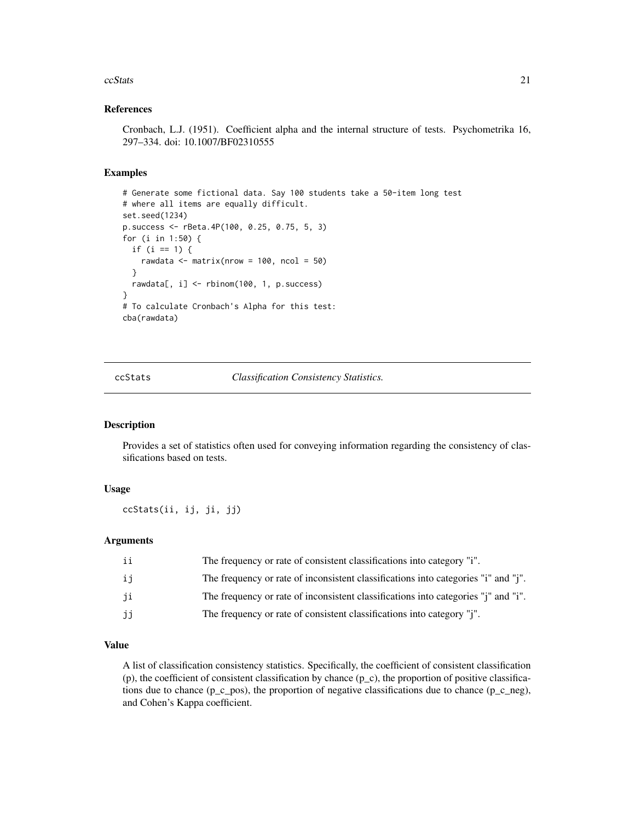#### <span id="page-20-0"></span>ccStats 21

#### References

Cronbach, L.J. (1951). Coefficient alpha and the internal structure of tests. Psychometrika 16, 297–334. doi: 10.1007/BF02310555

#### Examples

```
# Generate some fictional data. Say 100 students take a 50-item long test
# where all items are equally difficult.
set.seed(1234)
p.success <- rBeta.4P(100, 0.25, 0.75, 5, 3)
for (i in 1:50) {
 if (i == 1) {
   rawdata <- matrix(nrow = 100, ncol = 50)
 }
 rawdata[, i] <- rbinom(100, 1, p.success)
}
# To calculate Cronbach's Alpha for this test:
cba(rawdata)
```
ccStats *Classification Consistency Statistics.*

#### Description

Provides a set of statistics often used for conveying information regarding the consistency of classifications based on tests.

### Usage

ccStats(ii, ij, ji, jj)

### Arguments

| ii | The frequency or rate of consistent classifications into category "i".                               |
|----|------------------------------------------------------------------------------------------------------|
| ij | The frequency or rate of inconsistent classifications into categories "i" and "j".                   |
| ji | The frequency or rate of inconsistent classifications into categories " <i>i</i> " and " <i>i</i> ". |
| jj | The frequency or rate of consistent classifications into category "j".                               |

### Value

A list of classification consistency statistics. Specifically, the coefficient of consistent classification (p), the coefficient of consistent classification by chance  $(p_c)$ , the proportion of positive classifications due to chance (p\_c\_pos), the proportion of negative classifications due to chance (p\_c\_neg), and Cohen's Kappa coefficient.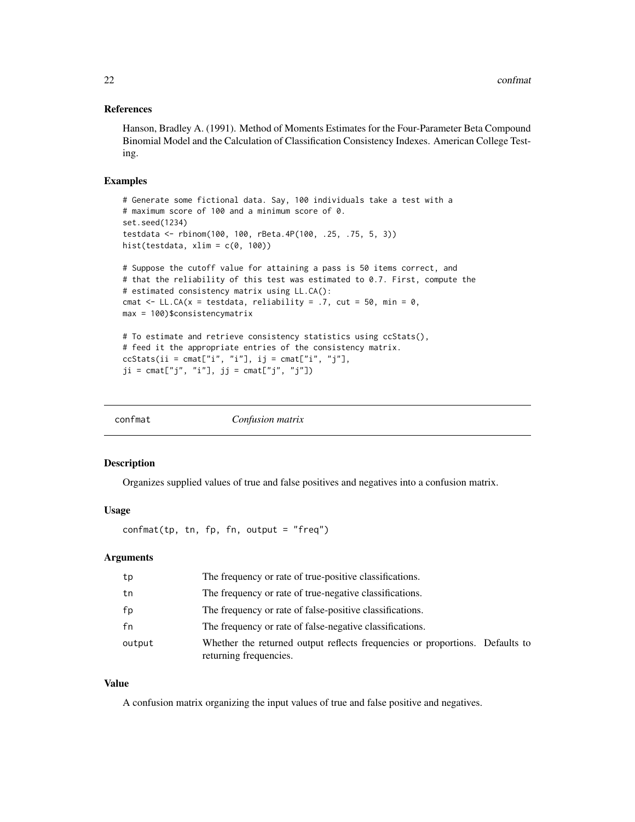### <span id="page-21-0"></span>References

Hanson, Bradley A. (1991). Method of Moments Estimates for the Four-Parameter Beta Compound Binomial Model and the Calculation of Classification Consistency Indexes. American College Testing.

#### Examples

```
# Generate some fictional data. Say, 100 individuals take a test with a
# maximum score of 100 and a minimum score of 0.
set.seed(1234)
testdata <- rbinom(100, 100, rBeta.4P(100, .25, .75, 5, 3))
hist(testdata, xlim = c(0, 100))
# Suppose the cutoff value for attaining a pass is 50 items correct, and
# that the reliability of this test was estimated to 0.7. First, compute the
# estimated consistency matrix using LL.CA():
cmat <- LL.CA(x = testdata, reliability = .7, cut = 50, min = 0,
max = 100)$consistencymatrix
```

```
# To estimate and retrieve consistency statistics using ccStats(),
# feed it the appropriate entries of the consistency matrix.
ccStats(ii = cmat["i", "i"], ij = cmat["i", "j"],
ji = \text{cmat}['j'', 'i''], jj = \text{cmat}['j'', 'j''])
```

| confmat | Confusion matrix |  |
|---------|------------------|--|
|         |                  |  |

#### **Description**

Organizes supplied values of true and false positives and negatives into a confusion matrix.

#### Usage

confmat(tp, tn, fp, fn, output = "freq")

#### **Arguments**

| tp     | The frequency or rate of true-positive classifications.                                                |
|--------|--------------------------------------------------------------------------------------------------------|
| tn     | The frequency or rate of true-negative classifications.                                                |
| fp     | The frequency or rate of false-positive classifications.                                               |
| fn     | The frequency or rate of false-negative classifications.                                               |
| output | Whether the returned output reflects frequencies or proportions. Defaults to<br>returning frequencies. |

### Value

A confusion matrix organizing the input values of true and false positive and negatives.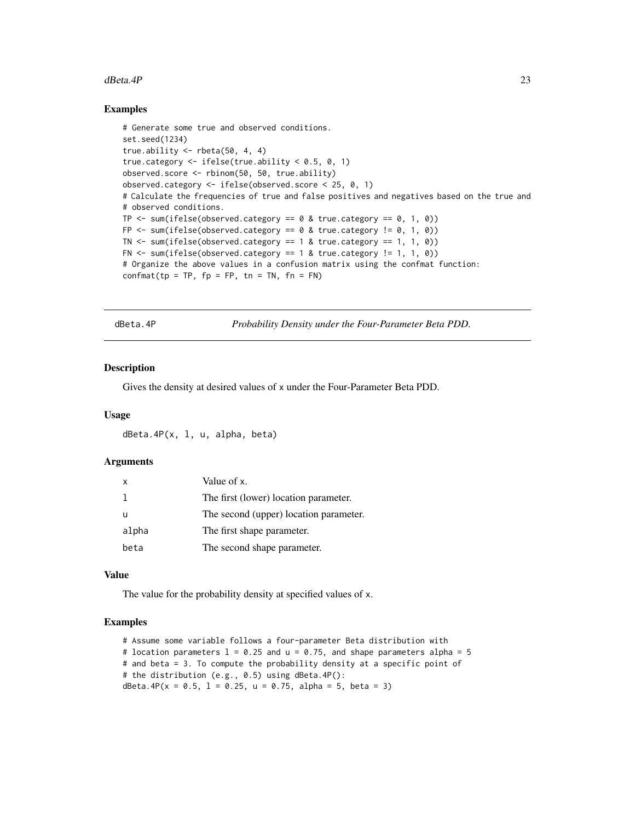#### <span id="page-22-0"></span> $dBetaAP$  23

#### Examples

```
# Generate some true and observed conditions.
set.seed(1234)
true.ability \le rbeta(50, 4, 4)
true.category \leq ifelse(true.ability \leq 0.5, 0, 1)
observed.score <- rbinom(50, 50, true.ability)
observed.category <- ifelse(observed.score < 25, 0, 1)
# Calculate the frequencies of true and false positives and negatives based on the true and
# observed conditions.
TP \le sum(ifelse(observed.category == 0 & true.category == 0, 1, 0))
FP \le sum(ifelse(observed.category == 0 & true.category != 0, 1, 0))
TN \le sum(ifelse(observed.category == 1 & true.category == 1, 1, 0))
FN \le sum(ifelse(observed.category == 1 & true.category != 1, 1, 0))
# Organize the above values in a confusion matrix using the confmat function:
confrant(tp = TP, fp = FP, tn = TN, fn = FN)
```
dBeta.4P *Probability Density under the Four-Parameter Beta PDD.*

#### **Description**

Gives the density at desired values of x under the Four-Parameter Beta PDD.

#### Usage

dBeta.4P(x, l, u, alpha, beta)

### Arguments

| $\times$ | Value of x.                            |
|----------|----------------------------------------|
|          | The first (lower) location parameter.  |
| u        | The second (upper) location parameter. |
| alpha    | The first shape parameter.             |
| beta     | The second shape parameter.            |

### Value

The value for the probability density at specified values of x.

```
# Assume some variable follows a four-parameter Beta distribution with
# location parameters l = 0.25 and u = 0.75, and shape parameters alpha = 5
# and beta = 3. To compute the probability density at a specific point of
# the distribution (e.g., 0.5) using dBeta.4P():
dBeta.4P(x = 0.5, 1 = 0.25, u = 0.75, alpha = 5, beta = 3)
```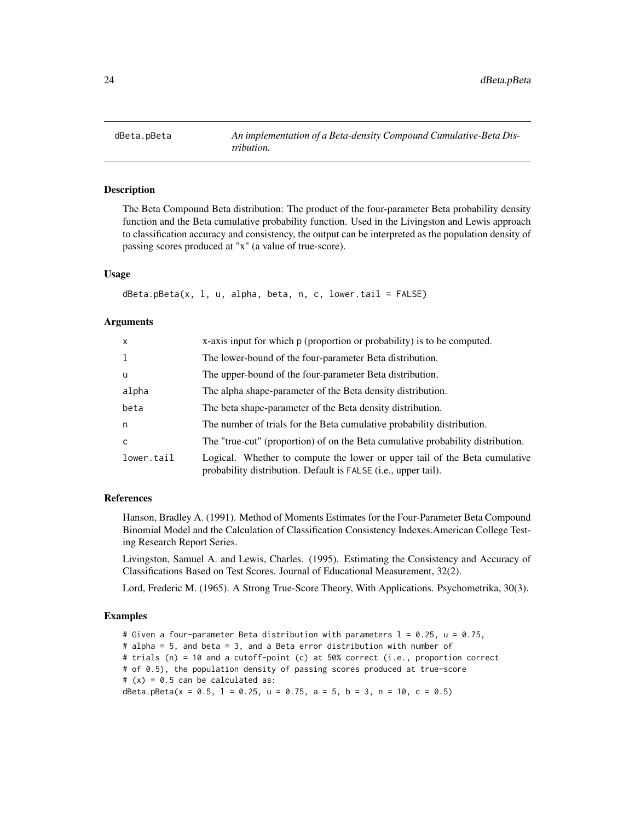<span id="page-23-0"></span>

### **Description**

The Beta Compound Beta distribution: The product of the four-parameter Beta probability density function and the Beta cumulative probability function. Used in the Livingston and Lewis approach to classification accuracy and consistency, the output can be interpreted as the population density of passing scores produced at "x" (a value of true-score).

### Usage

```
dBeta.pBeta(x, 1, u, alpha, beta, n, c, lowertail = FALSE)
```
#### **Arguments**

| $\mathsf{x}$ | x-axis input for which p (proportion or probability) is to be computed.                                                                      |
|--------------|----------------------------------------------------------------------------------------------------------------------------------------------|
| 1            | The lower-bound of the four-parameter Beta distribution.                                                                                     |
| <b>u</b>     | The upper-bound of the four-parameter Beta distribution.                                                                                     |
| alpha        | The alpha shape-parameter of the Beta density distribution.                                                                                  |
| beta         | The beta shape-parameter of the Beta density distribution.                                                                                   |
| n            | The number of trials for the Beta cumulative probability distribution.                                                                       |
| C            | The "true-cut" (proportion) of on the Beta cumulative probability distribution.                                                              |
| lower.tail   | Logical. Whether to compute the lower or upper tail of the Beta cumulative<br>probability distribution. Default is FALSE (i.e., upper tail). |

#### References

Hanson, Bradley A. (1991). Method of Moments Estimates for the Four-Parameter Beta Compound Binomial Model and the Calculation of Classification Consistency Indexes.American College Testing Research Report Series.

Livingston, Samuel A. and Lewis, Charles. (1995). Estimating the Consistency and Accuracy of Classifications Based on Test Scores. Journal of Educational Measurement, 32(2).

Lord, Frederic M. (1965). A Strong True-Score Theory, With Applications. Psychometrika, 30(3).

### Examples

# Given a four-parameter Beta distribution with parameters  $1 = 0.25$ ,  $u = 0.75$ , # alpha = 5, and beta = 3, and a Beta error distribution with number of # trials (n) = 10 and a cutoff-point (c) at 50% correct (i.e., proportion correct # of 0.5), the population density of passing scores produced at true-score  $# (x) = 0.5$  can be calculated as: dBeta.pBeta( $x = 0.5$ ,  $1 = 0.25$ ,  $u = 0.75$ ,  $a = 5$ ,  $b = 3$ ,  $n = 10$ ,  $c = 0.5$ )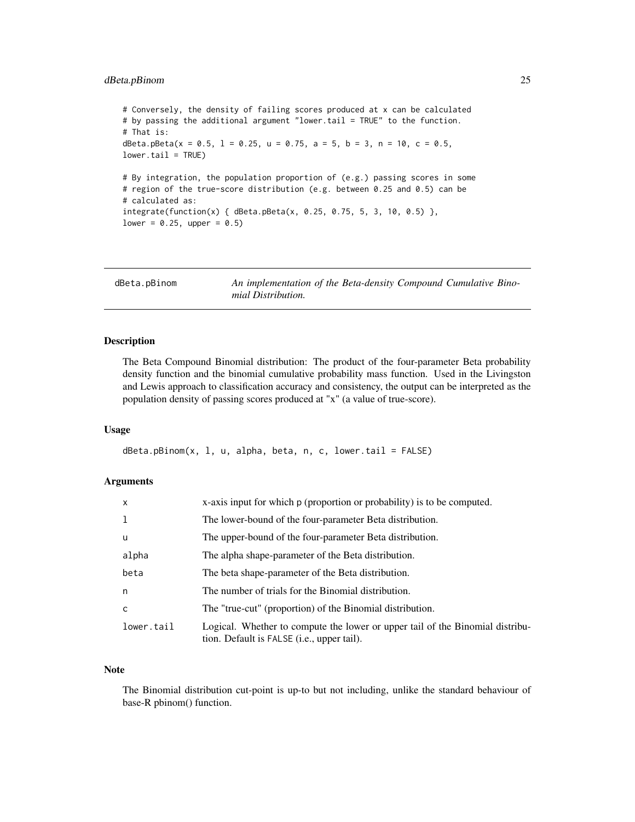### <span id="page-24-0"></span>dBeta.pBinom 25

# Conversely, the density of failing scores produced at x can be calculated # by passing the additional argument "lower.tail = TRUE" to the function. # That is: dBeta.pBeta( $x = 0.5$ ,  $1 = 0.25$ ,  $u = 0.75$ ,  $a = 5$ ,  $b = 3$ ,  $n = 10$ ,  $c = 0.5$ , lower.tail = TRUE) # By integration, the population proportion of (e.g.) passing scores in some # region of the true-score distribution (e.g. between 0.25 and 0.5) can be # calculated as: integrate(function(x) { dBeta.pBeta(x, 0.25, 0.75, 5, 3, 10, 0.5) }, lower =  $0.25$ , upper =  $0.5$ )

dBeta.pBinom *An implementation of the Beta-density Compound Cumulative Binomial Distribution.*

### Description

The Beta Compound Binomial distribution: The product of the four-parameter Beta probability density function and the binomial cumulative probability mass function. Used in the Livingston and Lewis approach to classification accuracy and consistency, the output can be interpreted as the population density of passing scores produced at "x" (a value of true-score).

#### Usage

 $dBeta.pBinom(x, 1, u, alpha, beta, n, c, lower$ **tail = FALSE** $)$ 

#### Arguments

| $\mathsf{x}$ | x-axis input for which p (proportion or probability) is to be computed.                                                              |
|--------------|--------------------------------------------------------------------------------------------------------------------------------------|
| $\mathbf{1}$ | The lower-bound of the four-parameter Beta distribution.                                                                             |
| u            | The upper-bound of the four-parameter Beta distribution.                                                                             |
| alpha        | The alpha shape-parameter of the Beta distribution.                                                                                  |
| beta         | The beta shape-parameter of the Beta distribution.                                                                                   |
| n            | The number of trials for the Binomial distribution.                                                                                  |
| C            | The "true-cut" (proportion) of the Binomial distribution.                                                                            |
| lower.tail   | Logical. Whether to compute the lower or upper tail of the Binomial distribu-<br>tion. Default is FALSE ( <i>i.e.</i> , upper tail). |

### Note

The Binomial distribution cut-point is up-to but not including, unlike the standard behaviour of base-R pbinom() function.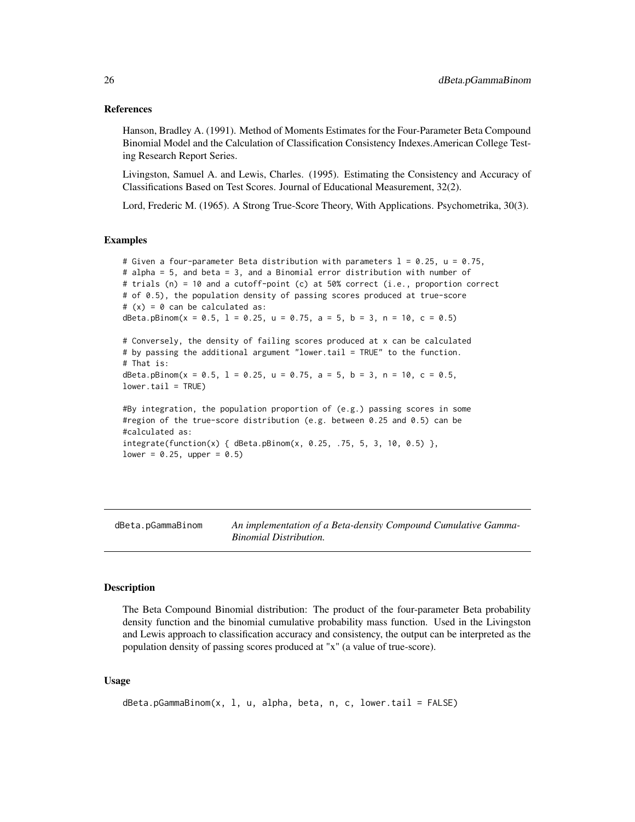#### <span id="page-25-0"></span>References

Hanson, Bradley A. (1991). Method of Moments Estimates for the Four-Parameter Beta Compound Binomial Model and the Calculation of Classification Consistency Indexes.American College Testing Research Report Series.

Livingston, Samuel A. and Lewis, Charles. (1995). Estimating the Consistency and Accuracy of Classifications Based on Test Scores. Journal of Educational Measurement, 32(2).

Lord, Frederic M. (1965). A Strong True-Score Theory, With Applications. Psychometrika, 30(3).

#### Examples

```
# Given a four-parameter Beta distribution with parameters l = 0.25, u = 0.75,
# alpha = 5, and beta = 3, and a Binomial error distribution with number of
# trials (n) = 10 and a cutoff-point (c) at 50% correct (i.e., proportion correct
# of 0.5), the population density of passing scores produced at true-score
# (x) = 0 can be calculated as:
dBeta.pBinom(x = 0.5, 1 = 0.25, u = 0.75, a = 5, b = 3, n = 10, c = 0.5)
# Conversely, the density of failing scores produced at x can be calculated
# by passing the additional argument "lower.tail = TRUE" to the function.
# That is:
dBeta.pBinom(x = 0.5, 1 = 0.25, u = 0.75, a = 5, b = 3, n = 10, c = 0.5,
lower.tail = TRUE)#By integration, the population proportion of (e.g.) passing scores in some
#region of the true-score distribution (e.g. between 0.25 and 0.5) can be
#calculated as:
integerate(function(x) { dBeta.pBinom(x, 0.25, .75, 5, 3, 10, 0.5) },lower = 0.25, upper = 0.5)
```
dBeta.pGammaBinom *An implementation of a Beta-density Compound Cumulative Gamma-Binomial Distribution.*

#### Description

The Beta Compound Binomial distribution: The product of the four-parameter Beta probability density function and the binomial cumulative probability mass function. Used in the Livingston and Lewis approach to classification accuracy and consistency, the output can be interpreted as the population density of passing scores produced at "x" (a value of true-score).

#### Usage

```
dBeta.pGammaBinom(x, 1, u, alpha, beta, n, c, lowertail = FALSE)
```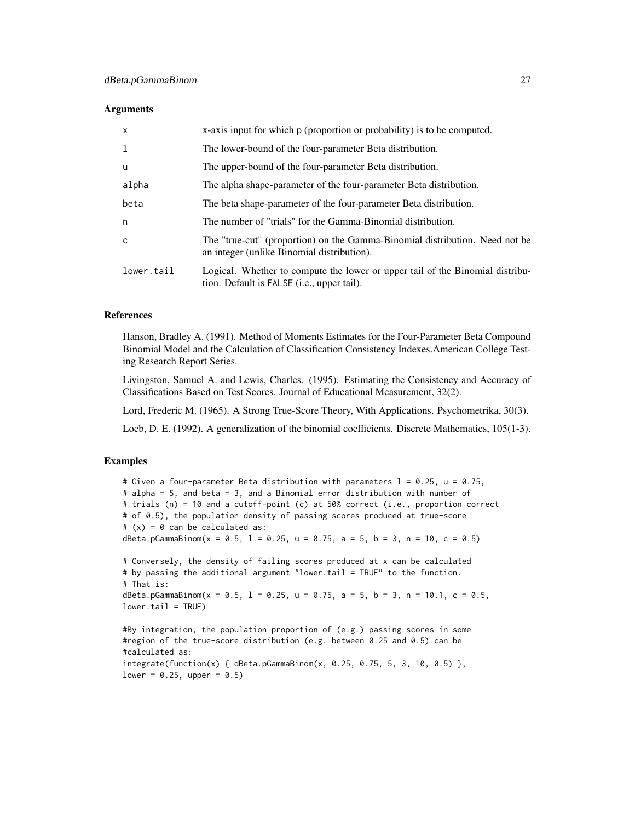#### **Arguments**

| $\mathsf{x}$ | x-axis input for which p (proportion or probability) is to be computed.                                                              |
|--------------|--------------------------------------------------------------------------------------------------------------------------------------|
| -1           | The lower-bound of the four-parameter Beta distribution.                                                                             |
| u            | The upper-bound of the four-parameter Beta distribution.                                                                             |
| alpha        | The alpha shape-parameter of the four-parameter Beta distribution.                                                                   |
| beta         | The beta shape-parameter of the four-parameter Beta distribution.                                                                    |
| n            | The number of "trials" for the Gamma-Binomial distribution.                                                                          |
| $\mathsf{C}$ | The "true-cut" (proportion) on the Gamma-Binomial distribution. Need not be<br>an integer (unlike Binomial distribution).            |
| lower.tail   | Logical. Whether to compute the lower or upper tail of the Binomial distribu-<br>tion. Default is FALSE ( <i>i.e.</i> , upper tail). |

### References

Hanson, Bradley A. (1991). Method of Moments Estimates for the Four-Parameter Beta Compound Binomial Model and the Calculation of Classification Consistency Indexes.American College Testing Research Report Series.

Livingston, Samuel A. and Lewis, Charles. (1995). Estimating the Consistency and Accuracy of Classifications Based on Test Scores. Journal of Educational Measurement, 32(2).

Lord, Frederic M. (1965). A Strong True-Score Theory, With Applications. Psychometrika, 30(3).

Loeb, D. E. (1992). A generalization of the binomial coefficients. Discrete Mathematics, 105(1-3).

#### Examples

 $lower = 0.25$ , upper = 0.5)

```
# Given a four-parameter Beta distribution with parameters l = 0.25, u = 0.75,
# alpha = 5, and beta = 3, and a Binomial error distribution with number of
# trials (n) = 10 and a cutoff-point (c) at 50% correct (i.e., proportion correct
# of 0.5), the population density of passing scores produced at true-score
# (x) = 0 can be calculated as:
dBeta.pGammaBinom(x = 0.5, 1 = 0.25, u = 0.75, a = 5, b = 3, n = 10, c = 0.5)
# Conversely, the density of failing scores produced at x can be calculated
# by passing the additional argument "lower.tail = TRUE" to the function.
# That is:
dBeta.pGammaBinom(x = 0.5, 1 = 0.25, u = 0.75, a = 5, b = 3, n = 10.1, c = 0.5,
lower.tail = TRUE)
#By integration, the population proportion of (e.g.) passing scores in some
#region of the true-score distribution (e.g. between 0.25 and 0.5) can be
#calculated as:
integrate(function(x) {dBeta.pGammaBinom(x, 0.25, 0.75, 5, 3, 10, 0.5)}
```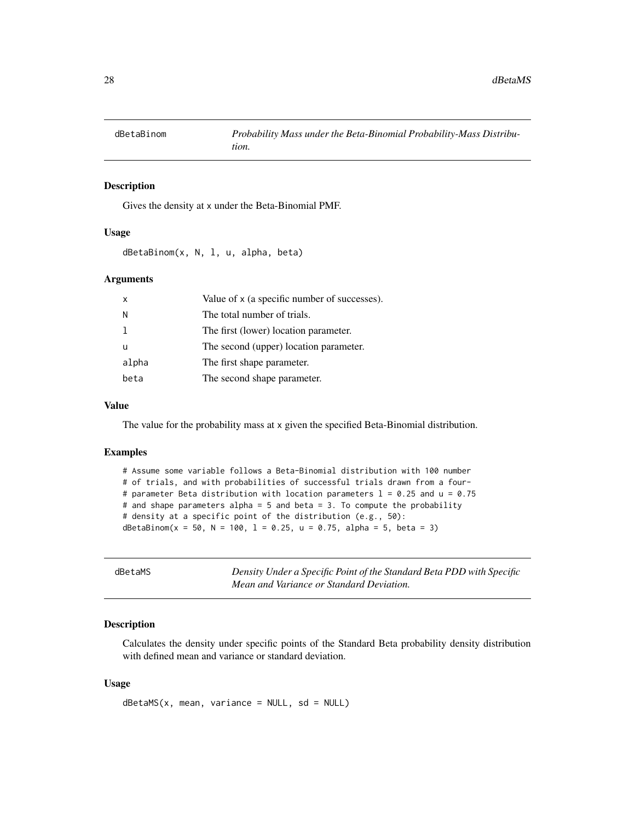<span id="page-27-0"></span>

#### Description

Gives the density at x under the Beta-Binomial PMF.

#### Usage

dBetaBinom(x, N, l, u, alpha, beta)

### Arguments

| $\mathsf{x}$ | Value of x (a specific number of successes). |
|--------------|----------------------------------------------|
| N            | The total number of trials.                  |
|              | The first (lower) location parameter.        |
| u            | The second (upper) location parameter.       |
| alpha        | The first shape parameter.                   |
| beta         | The second shape parameter.                  |

### Value

The value for the probability mass at x given the specified Beta-Binomial distribution.

#### Examples

```
# Assume some variable follows a Beta-Binomial distribution with 100 number
# of trials, and with probabilities of successful trials drawn from a four-
# parameter Beta distribution with location parameters l = 0.25 and u = 0.75# and shape parameters alpha = 5 and beta = 3. To compute the probability
# density at a specific point of the distribution (e.g., 50):
dBetaBinom(x = 50, N = 100, 1 = 0.25, u = 0.75, alpha = 5, beta = 3)
```
dBetaMS *Density Under a Specific Point of the Standard Beta PDD with Specific Mean and Variance or Standard Deviation.*

#### Description

Calculates the density under specific points of the Standard Beta probability density distribution with defined mean and variance or standard deviation.

#### Usage

 $d\text{BetaMS}(x, \text{mean}, \text{variance = NULL}, \text{sd = NULL})$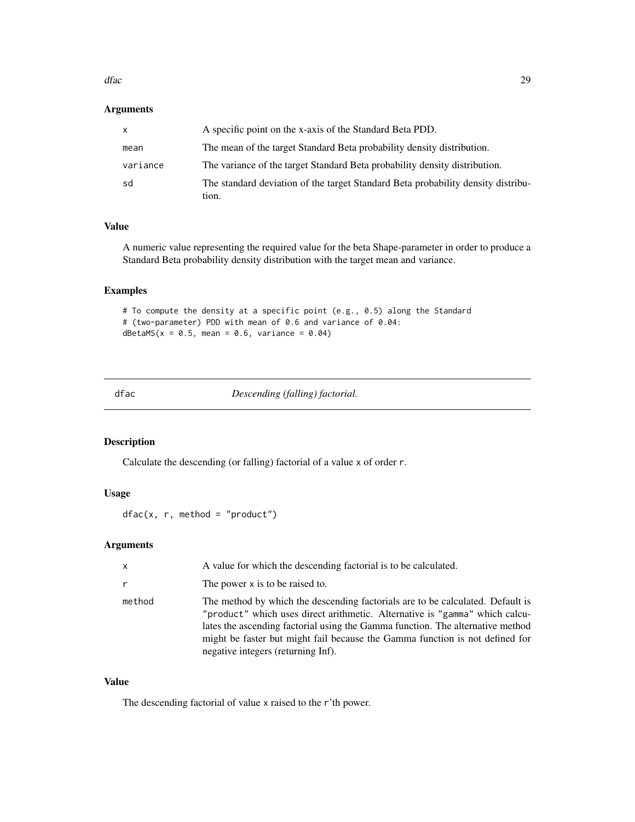#### <span id="page-28-0"></span>dfac 29

### Arguments

| X        | A specific point on the x-axis of the Standard Beta PDD.                                  |
|----------|-------------------------------------------------------------------------------------------|
| mean     | The mean of the target Standard Beta probability density distribution.                    |
| variance | The variance of the target Standard Beta probability density distribution.                |
| sd       | The standard deviation of the target Standard Beta probability density distribu-<br>tion. |

### Value

A numeric value representing the required value for the beta Shape-parameter in order to produce a Standard Beta probability density distribution with the target mean and variance.

### Examples

```
# To compute the density at a specific point (e.g., 0.5) along the Standard
# (two-parameter) PDD with mean of 0.6 and variance of 0.04:
dBetaMS(x = 0.5, mean = 0.6, variance = 0.04)
```
dfac *Descending (falling) factorial.*

### Description

Calculate the descending (or falling) factorial of a value x of order r.

#### Usage

```
dfac(x, r, method = "product")
```
### Arguments

| $\mathsf{x}$ | A value for which the descending factorial is to be calculated.                                                                                                                                                                                                                                                                                                       |
|--------------|-----------------------------------------------------------------------------------------------------------------------------------------------------------------------------------------------------------------------------------------------------------------------------------------------------------------------------------------------------------------------|
|              | The power x is to be raised to.                                                                                                                                                                                                                                                                                                                                       |
| method       | The method by which the descending factorials are to be calculated. Default is<br>"product" which uses direct arithmetic. Alternative is "gamma" which calcu-<br>lates the ascending factorial using the Gamma function. The alternative method<br>might be faster but might fail because the Gamma function is not defined for<br>negative integers (returning Inf). |

#### Value

The descending factorial of value x raised to the r'th power.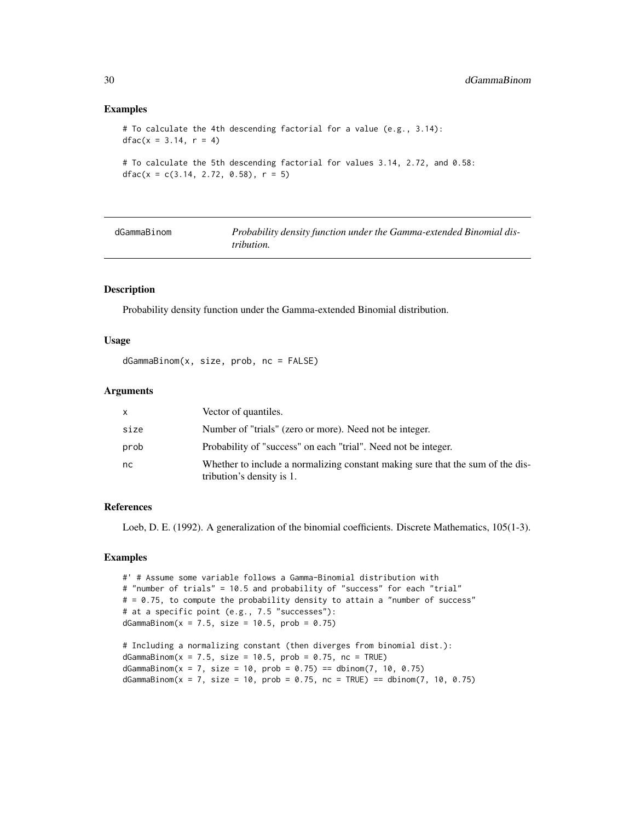#### Examples

```
# To calculate the 4th descending factorial for a value (e.g., 3.14):
dfac(x = 3.14, r = 4)# To calculate the 5th descending factorial for values 3.14, 2.72, and 0.58:
dfac(x = c(3.14, 2.72, 0.58), r = 5)
```

| dGammaBinom | Probability density function under the Gamma-extended Binomial dis- |
|-------------|---------------------------------------------------------------------|
|             | <i>tribution.</i>                                                   |

#### Description

Probability density function under the Gamma-extended Binomial distribution.

#### Usage

dGammaBinom(x, size, prob, nc = FALSE)

#### Arguments

| x    | Vector of quantiles.                                                                                        |
|------|-------------------------------------------------------------------------------------------------------------|
| size | Number of "trials" (zero or more). Need not be integer.                                                     |
| prob | Probability of "success" on each "trial". Need not be integer.                                              |
| nc   | Whether to include a normalizing constant making sure that the sum of the dis-<br>tribution's density is 1. |

### References

Loeb, D. E. (1992). A generalization of the binomial coefficients. Discrete Mathematics, 105(1-3).

#### Examples

```
#' # Assume some variable follows a Gamma-Binomial distribution with
# "number of trials" = 10.5 and probability of "success" for each "trial"
# = 0.75, to compute the probability density to attain a "number of success"
# at a specific point (e.g., 7.5 "successes"):
dGammaBinom(x = 7.5, size = 10.5, prob = 0.75)
# Including a normalizing constant (then diverges from binomial dist.):
dGammaBinom(x = 7.5, size = 10.5, prob = 0.75, nc = TRUE)
```
 $dGamma(Bx = 7, size = 10, prob = 0.75) == dbinom(7, 10, 0.75)$  $dGamma(BimmaBinom(x = 7, size = 10, prob = 0.75, nc = TRUE) == dbinom(7, 10, 0.75)$ 

<span id="page-29-0"></span>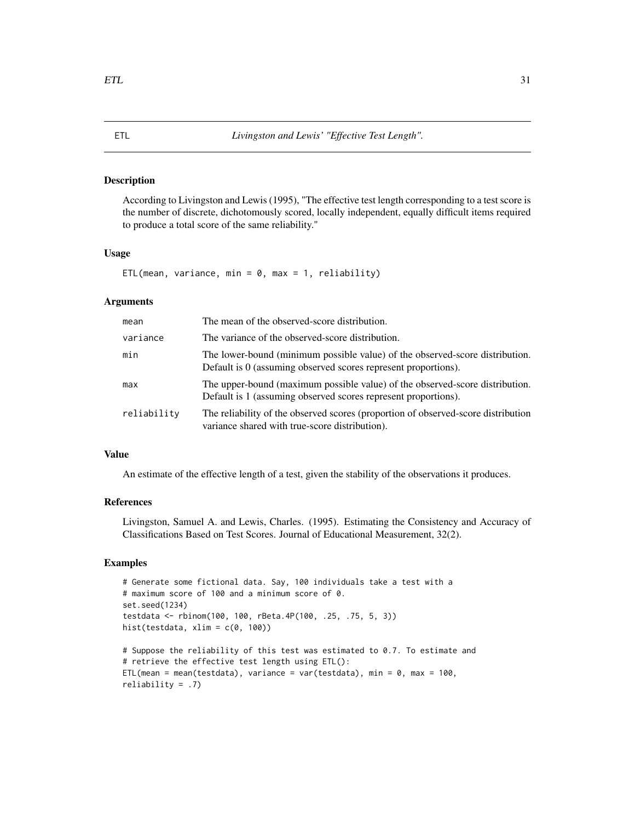#### <span id="page-30-0"></span>Description

According to Livingston and Lewis (1995), "The effective test length corresponding to a test score is the number of discrete, dichotomously scored, locally independent, equally difficult items required to produce a total score of the same reliability."

#### Usage

ETL(mean, variance, min =  $0$ , max = 1, reliability)

### Arguments

| mean        | The mean of the observed-score distribution.                                                                                                   |
|-------------|------------------------------------------------------------------------------------------------------------------------------------------------|
| variance    | The variance of the observed-score distribution.                                                                                               |
| min         | The lower-bound (minimum possible value) of the observed-score distribution.<br>Default is 0 (assuming observed scores represent proportions). |
| max         | The upper-bound (maximum possible value) of the observed-score distribution.<br>Default is 1 (assuming observed scores represent proportions). |
| reliability | The reliability of the observed scores (proportion of observed-score distribution<br>variance shared with true-score distribution).            |

#### Value

An estimate of the effective length of a test, given the stability of the observations it produces.

### References

Livingston, Samuel A. and Lewis, Charles. (1995). Estimating the Consistency and Accuracy of Classifications Based on Test Scores. Journal of Educational Measurement, 32(2).

```
# Generate some fictional data. Say, 100 individuals take a test with a
# maximum score of 100 and a minimum score of 0.
set.seed(1234)
testdata <- rbinom(100, 100, rBeta.4P(100, .25, .75, 5, 3))
hist(testdata, xlim = c(\theta, 100))
# Suppose the reliability of this test was estimated to 0.7. To estimate and
# retrieve the effective test length using ETL():
ETL(mean = mean(testdata), variance = var(testdata), min = 0, max = 100,
reliability = .7)
```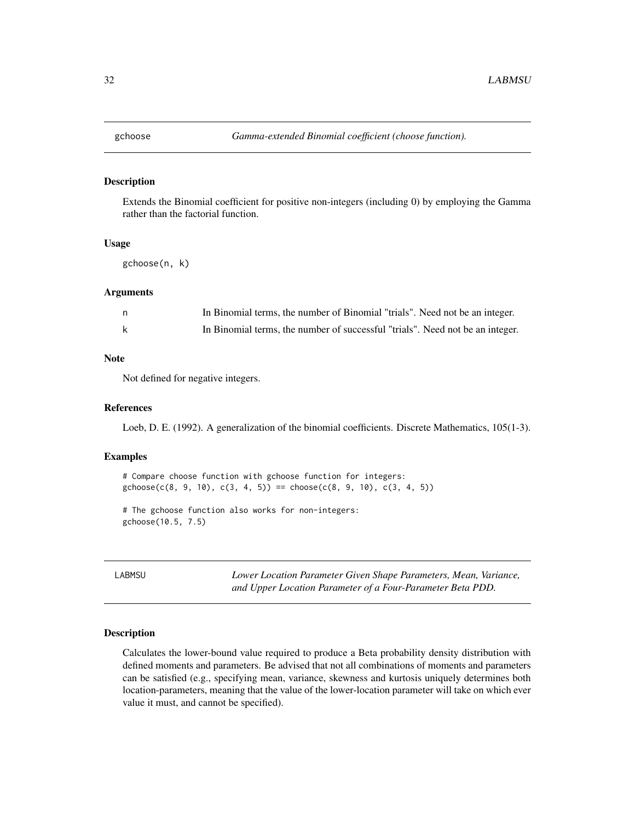<span id="page-31-0"></span>

### Description

Extends the Binomial coefficient for positive non-integers (including 0) by employing the Gamma rather than the factorial function.

#### Usage

gchoose(n, k)

#### Arguments

| n, | In Binomial terms, the number of Binomial "trials". Need not be an integer.   |
|----|-------------------------------------------------------------------------------|
|    | In Binomial terms, the number of successful "trials". Need not be an integer. |

### Note

Not defined for negative integers.

#### References

Loeb, D. E. (1992). A generalization of the binomial coefficients. Discrete Mathematics, 105(1-3).

#### Examples

# Compare choose function with gchoose function for integers:  $gchoose(c(8, 9, 10), c(3, 4, 5)) == choose(c(8, 9, 10), c(3, 4, 5))$ 

# The gchoose function also works for non-integers: gchoose(10.5, 7.5)

LABMSU *Lower Location Parameter Given Shape Parameters, Mean, Variance, and Upper Location Parameter of a Four-Parameter Beta PDD.*

### Description

Calculates the lower-bound value required to produce a Beta probability density distribution with defined moments and parameters. Be advised that not all combinations of moments and parameters can be satisfied (e.g., specifying mean, variance, skewness and kurtosis uniquely determines both location-parameters, meaning that the value of the lower-location parameter will take on which ever value it must, and cannot be specified).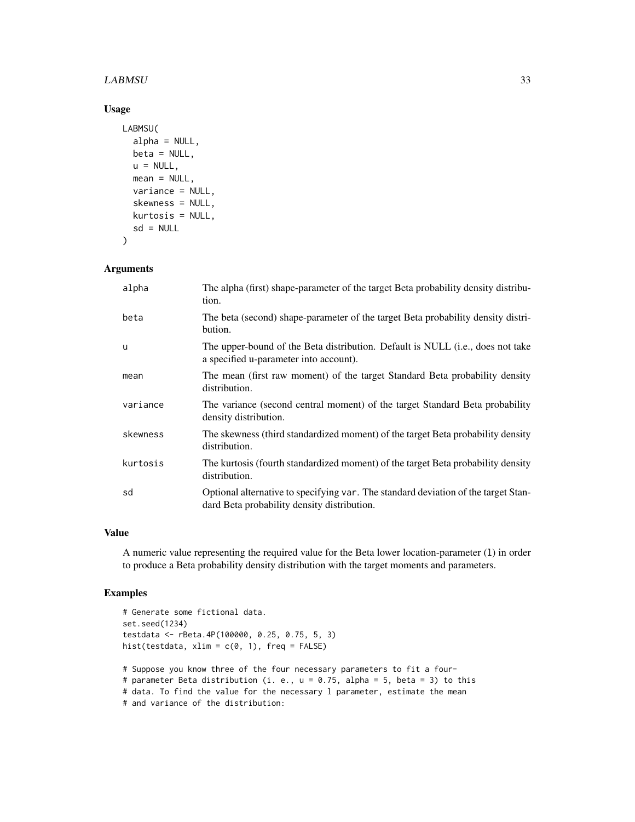#### LABMSU 33

### Usage

```
LABMSU(
  alpha = NULL,
 beta = NULL,u = NULL,mean = NULL,
 variance = NULL,
 skewness = NULL,
 kurtosis = NULL,
 sd = NULL)
```
## Arguments

| alpha    | The alpha (first) shape-parameter of the target Beta probability density distribu-<br>tion.                                       |
|----------|-----------------------------------------------------------------------------------------------------------------------------------|
| beta     | The beta (second) shape-parameter of the target Beta probability density distri-<br>bution.                                       |
| u        | The upper-bound of the Beta distribution. Default is NULL (i.e., does not take<br>a specified u-parameter into account).          |
| mean     | The mean (first raw moment) of the target Standard Beta probability density<br>distribution.                                      |
| variance | The variance (second central moment) of the target Standard Beta probability<br>density distribution.                             |
| skewness | The skewness (third standardized moment) of the target Beta probability density<br>distribution.                                  |
| kurtosis | The kurtosis (fourth standardized moment) of the target Beta probability density<br>distribution.                                 |
| sd       | Optional alternative to specifying var. The standard deviation of the target Stan-<br>dard Beta probability density distribution. |

## Value

A numeric value representing the required value for the Beta lower location-parameter (l) in order to produce a Beta probability density distribution with the target moments and parameters.

```
# Generate some fictional data.
set.seed(1234)
testdata <- rBeta.4P(100000, 0.25, 0.75, 5, 3)
hist(testdata, xlim = c(0, 1), freq = FALSE)
# Suppose you know three of the four necessary parameters to fit a four-
# parameter Beta distribution (i. e., u = 0.75, alpha = 5, beta = 3) to this
# data. To find the value for the necessary 1 parameter, estimate the mean
# and variance of the distribution:
```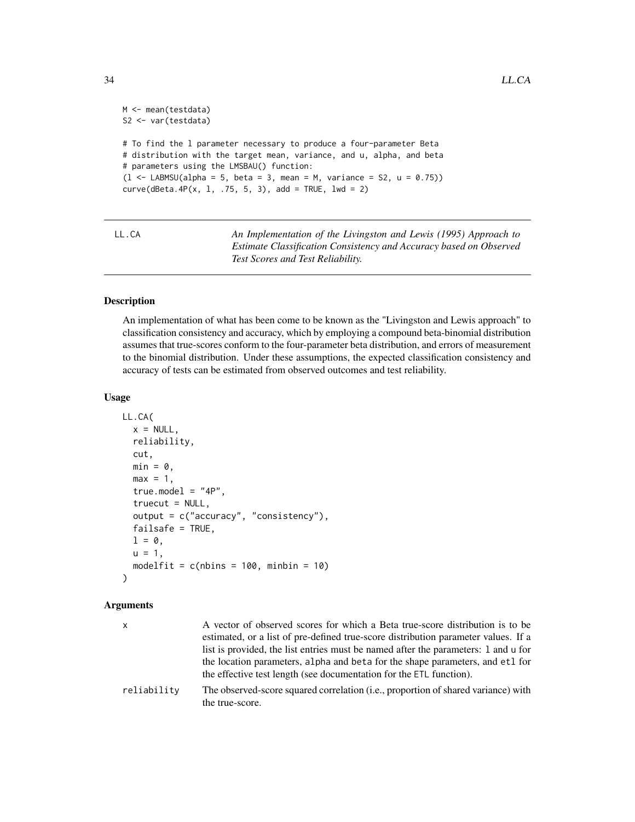```
M <- mean(testdata)
S2 <- var(testdata)
# To find the l parameter necessary to produce a four-parameter Beta
# distribution with the target mean, variance, and u, alpha, and beta
# parameters using the LMSBAU() function:
(1 \leq LABMSU(\text{alpha} = 5, \text{beta} = 3, \text{mean} = M, \text{variance} = S2, \text{u} = 0.75))curve(dBeta.4P(x, 1, .75, 5, 3), add = TRUE, 1wd = 2)
```
LL.CA *An Implementation of the Livingston and Lewis (1995) Approach to Estimate Classification Consistency and Accuracy based on Observed Test Scores and Test Reliability.*

### Description

An implementation of what has been come to be known as the "Livingston and Lewis approach" to classification consistency and accuracy, which by employing a compound beta-binomial distribution assumes that true-scores conform to the four-parameter beta distribution, and errors of measurement to the binomial distribution. Under these assumptions, the expected classification consistency and accuracy of tests can be estimated from observed outcomes and test reliability.

### Usage

```
LL.CA(
  x = NULL,reliability,
  cut,
  min = 0,
  max = 1,
  true.model = "4P",truecut = NULL,output = c("accuracy", "consistency"),
  failsafe = TRUE,
  l = \emptyset,
  u = 1,
  modelfit = c(nbins = 100, minbin = 10)\lambda
```

| <b>X</b>    | A vector of observed scores for which a Beta true-score distribution is to be<br>estimated, or a list of pre-defined true-score distribution parameter values. If a<br>list is provided, the list entries must be named after the parameters: 1 and u for<br>the location parameters, alpha and beta for the shape parameters, and etl for<br>the effective test length (see documentation for the ETL function). |
|-------------|-------------------------------------------------------------------------------------------------------------------------------------------------------------------------------------------------------------------------------------------------------------------------------------------------------------------------------------------------------------------------------------------------------------------|
| reliability | The observed-score squared correlation (i.e., proportion of shared variance) with<br>the true-score.                                                                                                                                                                                                                                                                                                              |

<span id="page-33-0"></span>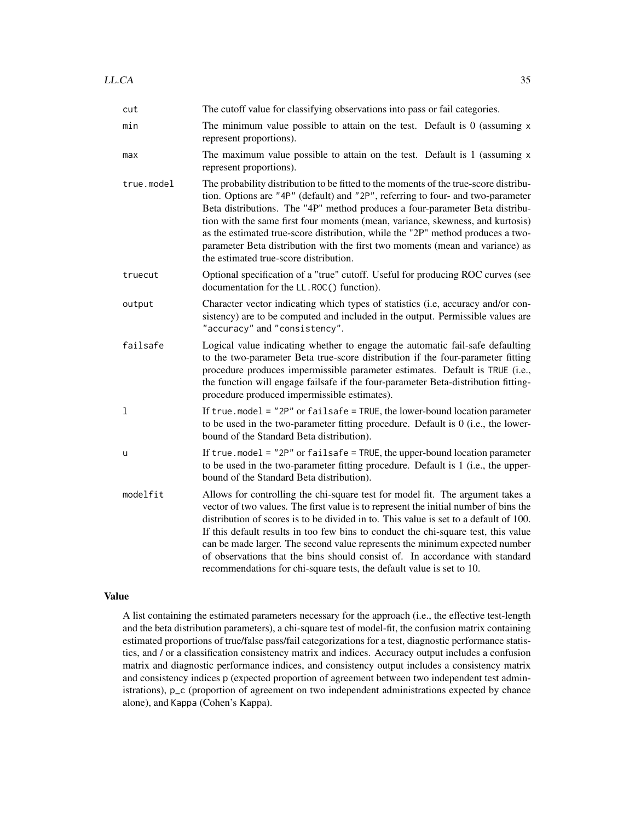| cut        | The cutoff value for classifying observations into pass or fail categories.                                                                                                                                                                                                                                                                                                                                                                                                                                                                                                                   |  |  |  |
|------------|-----------------------------------------------------------------------------------------------------------------------------------------------------------------------------------------------------------------------------------------------------------------------------------------------------------------------------------------------------------------------------------------------------------------------------------------------------------------------------------------------------------------------------------------------------------------------------------------------|--|--|--|
| min        | The minimum value possible to attain on the test. Default is $0$ (assuming $x$<br>represent proportions).                                                                                                                                                                                                                                                                                                                                                                                                                                                                                     |  |  |  |
| max        | The maximum value possible to attain on the test. Default is 1 (assuming x<br>represent proportions).                                                                                                                                                                                                                                                                                                                                                                                                                                                                                         |  |  |  |
| true.model | The probability distribution to be fitted to the moments of the true-score distribu-<br>tion. Options are "4P" (default) and "2P", referring to four- and two-parameter<br>Beta distributions. The "4P" method produces a four-parameter Beta distribu-<br>tion with the same first four moments (mean, variance, skewness, and kurtosis)<br>as the estimated true-score distribution, while the "2P" method produces a two-<br>parameter Beta distribution with the first two moments (mean and variance) as<br>the estimated true-score distribution.                                       |  |  |  |
| truecut    | Optional specification of a "true" cutoff. Useful for producing ROC curves (see<br>documentation for the LL.ROC() function).                                                                                                                                                                                                                                                                                                                                                                                                                                                                  |  |  |  |
| output     | Character vector indicating which types of statistics (i.e, accuracy and/or con-<br>sistency) are to be computed and included in the output. Permissible values are<br>"accuracy" and "consistency".                                                                                                                                                                                                                                                                                                                                                                                          |  |  |  |
| failsafe   | Logical value indicating whether to engage the automatic fail-safe defaulting<br>to the two-parameter Beta true-score distribution if the four-parameter fitting<br>procedure produces impermissible parameter estimates. Default is TRUE (i.e.,<br>the function will engage failsafe if the four-parameter Beta-distribution fitting-<br>procedure produced impermissible estimates).                                                                                                                                                                                                        |  |  |  |
| 1          | If true . model = $"2P"$ or failsafe = TRUE, the lower-bound location parameter<br>to be used in the two-parameter fitting procedure. Default is 0 (i.e., the lower-<br>bound of the Standard Beta distribution).                                                                                                                                                                                                                                                                                                                                                                             |  |  |  |
| u          | If true.model = "2P" or failsafe = TRUE, the upper-bound location parameter<br>to be used in the two-parameter fitting procedure. Default is 1 (i.e., the upper-<br>bound of the Standard Beta distribution).                                                                                                                                                                                                                                                                                                                                                                                 |  |  |  |
| modelfit   | Allows for controlling the chi-square test for model fit. The argument takes a<br>vector of two values. The first value is to represent the initial number of bins the<br>distribution of scores is to be divided in to. This value is set to a default of 100.<br>If this default results in too few bins to conduct the chi-square test, this value<br>can be made larger. The second value represents the minimum expected number<br>of observations that the bins should consist of. In accordance with standard<br>recommendations for chi-square tests, the default value is set to 10. |  |  |  |

### Value

A list containing the estimated parameters necessary for the approach (i.e., the effective test-length and the beta distribution parameters), a chi-square test of model-fit, the confusion matrix containing estimated proportions of true/false pass/fail categorizations for a test, diagnostic performance statistics, and / or a classification consistency matrix and indices. Accuracy output includes a confusion matrix and diagnostic performance indices, and consistency output includes a consistency matrix and consistency indices p (expected proportion of agreement between two independent test administrations), p\_c (proportion of agreement on two independent administrations expected by chance alone), and Kappa (Cohen's Kappa).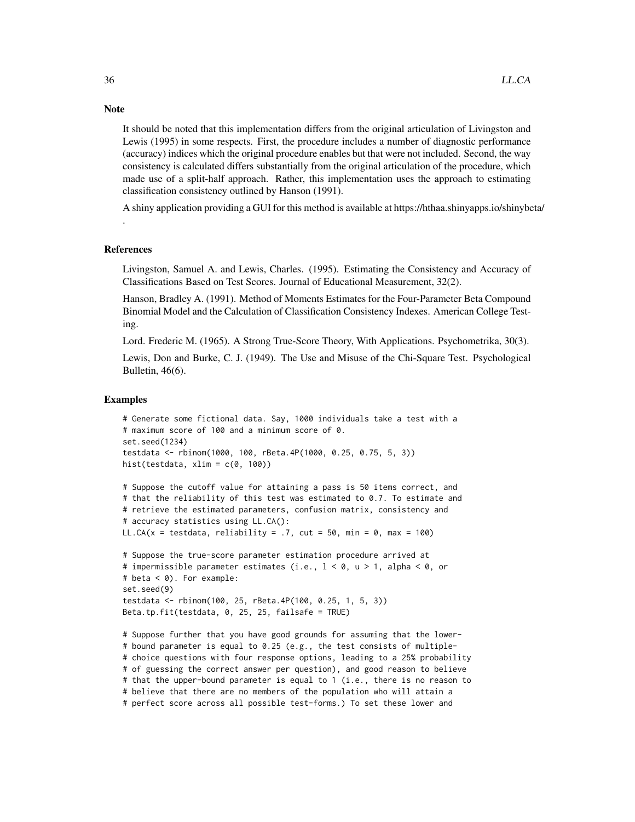It should be noted that this implementation differs from the original articulation of Livingston and Lewis (1995) in some respects. First, the procedure includes a number of diagnostic performance (accuracy) indices which the original procedure enables but that were not included. Second, the way consistency is calculated differs substantially from the original articulation of the procedure, which made use of a split-half approach. Rather, this implementation uses the approach to estimating classification consistency outlined by Hanson (1991).

A shiny application providing a GUI for this method is available at https://hthaa.shinyapps.io/shinybeta/

#### References

.

Livingston, Samuel A. and Lewis, Charles. (1995). Estimating the Consistency and Accuracy of Classifications Based on Test Scores. Journal of Educational Measurement, 32(2).

Hanson, Bradley A. (1991). Method of Moments Estimates for the Four-Parameter Beta Compound Binomial Model and the Calculation of Classification Consistency Indexes. American College Testing.

Lord. Frederic M. (1965). A Strong True-Score Theory, With Applications. Psychometrika, 30(3).

Lewis, Don and Burke, C. J. (1949). The Use and Misuse of the Chi-Square Test. Psychological Bulletin, 46(6).

#### Examples

```
# Generate some fictional data. Say, 1000 individuals take a test with a
# maximum score of 100 and a minimum score of 0.
set.seed(1234)
testdata <- rbinom(1000, 100, rBeta.4P(1000, 0.25, 0.75, 5, 3))
hist(testdata, xlim = c(0, 100))
# Suppose the cutoff value for attaining a pass is 50 items correct, and
# that the reliability of this test was estimated to 0.7. To estimate and
# retrieve the estimated parameters, confusion matrix, consistency and
# accuracy statistics using LL.CA():
LL.CA(x = testdata, reliability = .7, cut = 50, min = 0, max = 100)
# Suppose the true-score parameter estimation procedure arrived at
# impermissible parameter estimates (i.e., 1 < \varnothing, u > 1, alpha < \varnothing, or
# beta < 0). For example:
set.seed(9)
testdata <- rbinom(100, 25, rBeta.4P(100, 0.25, 1, 5, 3))
Beta.tp.fit(testdata, 0, 25, 25, failsafe = TRUE)
# Suppose further that you have good grounds for assuming that the lower-
# bound parameter is equal to 0.25 (e.g., the test consists of multiple-
# choice questions with four response options, leading to a 25% probability
# of guessing the correct answer per question), and good reason to believe
# that the upper-bound parameter is equal to 1 (i.e., there is no reason to
# believe that there are no members of the population who will attain a
# perfect score across all possible test-forms.) To set these lower and
```
## **Note**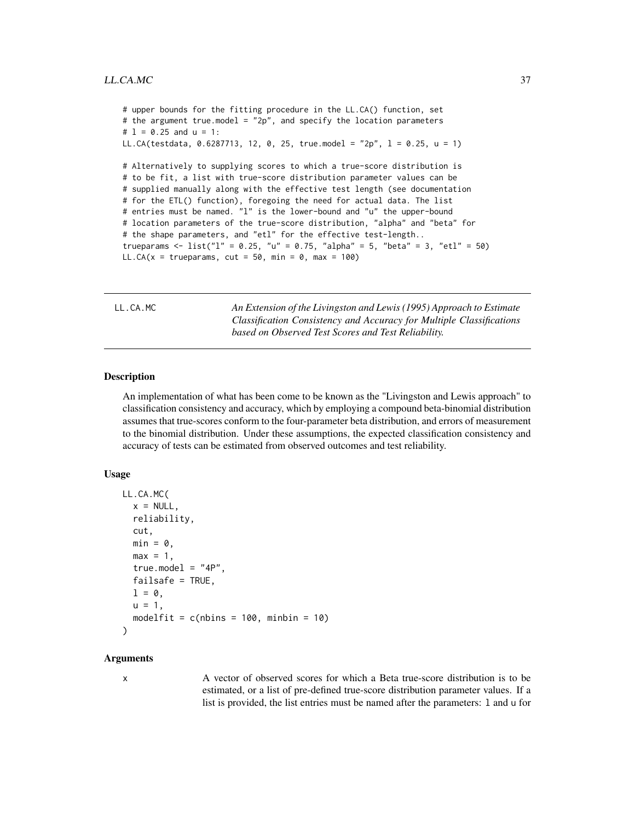```
# upper bounds for the fitting procedure in the LL.CA() function, set
# the argument true.model = "2p", and specify the location parameters
# 1 = 0.25 and u = 1:
LL.CA(testdata, 0.6287713, 12, 0, 25, true.model = "2p", l = 0.25, u = 1)
# Alternatively to supplying scores to which a true-score distribution is
# to be fit, a list with true-score distribution parameter values can be
# supplied manually along with the effective test length (see documentation
# for the ETL() function), foregoing the need for actual data. The list
# entries must be named. "l" is the lower-bound and "u" the upper-bound
# location parameters of the true-score distribution, "alpha" and "beta" for
# the shape parameters, and "etl" for the effective test-length..
trueparams <- list("1'' = 0.25, "u'' = 0.75, "alpha" = 5, "beta" = 3, "et1'' = 50)
LL.CA(x = trueparams, cut = 50, min = 0, max = 100)
```
LL.CA.MC *An Extension of the Livingston and Lewis (1995) Approach to Estimate Classification Consistency and Accuracy for Multiple Classifications based on Observed Test Scores and Test Reliability.*

### Description

An implementation of what has been come to be known as the "Livingston and Lewis approach" to classification consistency and accuracy, which by employing a compound beta-binomial distribution assumes that true-scores conform to the four-parameter beta distribution, and errors of measurement to the binomial distribution. Under these assumptions, the expected classification consistency and accuracy of tests can be estimated from observed outcomes and test reliability.

#### Usage

```
LL.CA.MC(
  x = NULL,
  reliability,
  cut,
  min = 0,
  max = 1,
  true_model = "4P",failsafe = TRUE,
  l = \emptyset,u = 1,
  modelfit = c(nbins = 100, minbin = 10))
```
#### Arguments

x A vector of observed scores for which a Beta true-score distribution is to be estimated, or a list of pre-defined true-score distribution parameter values. If a list is provided, the list entries must be named after the parameters: l and u for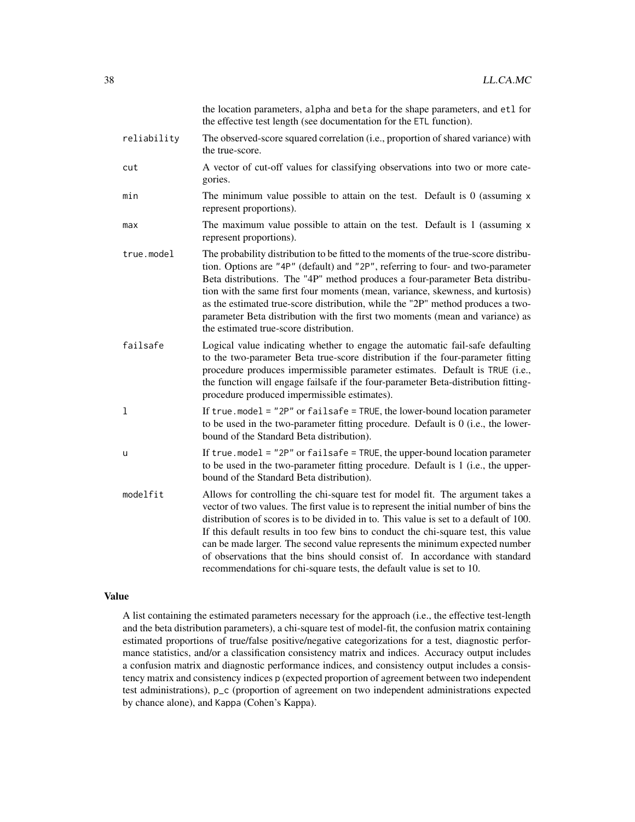|             | the location parameters, alpha and beta for the shape parameters, and etl for<br>the effective test length (see documentation for the ETL function).                                                                                                                                                                                                                                                                                                                                                                                                                                          |
|-------------|-----------------------------------------------------------------------------------------------------------------------------------------------------------------------------------------------------------------------------------------------------------------------------------------------------------------------------------------------------------------------------------------------------------------------------------------------------------------------------------------------------------------------------------------------------------------------------------------------|
| reliability | The observed-score squared correlation (i.e., proportion of shared variance) with<br>the true-score.                                                                                                                                                                                                                                                                                                                                                                                                                                                                                          |
| cut         | A vector of cut-off values for classifying observations into two or more cate-<br>gories.                                                                                                                                                                                                                                                                                                                                                                                                                                                                                                     |
| min         | The minimum value possible to attain on the test. Default is $0$ (assuming $x$<br>represent proportions).                                                                                                                                                                                                                                                                                                                                                                                                                                                                                     |
| max         | The maximum value possible to attain on the test. Default is 1 (assuming x<br>represent proportions).                                                                                                                                                                                                                                                                                                                                                                                                                                                                                         |
| true.model  | The probability distribution to be fitted to the moments of the true-score distribu-<br>tion. Options are "4P" (default) and "2P", referring to four- and two-parameter<br>Beta distributions. The "4P" method produces a four-parameter Beta distribu-<br>tion with the same first four moments (mean, variance, skewness, and kurtosis)<br>as the estimated true-score distribution, while the "2P" method produces a two-<br>parameter Beta distribution with the first two moments (mean and variance) as<br>the estimated true-score distribution.                                       |
| failsafe    | Logical value indicating whether to engage the automatic fail-safe defaulting<br>to the two-parameter Beta true-score distribution if the four-parameter fitting<br>procedure produces impermissible parameter estimates. Default is TRUE (i.e.,<br>the function will engage failsafe if the four-parameter Beta-distribution fitting-<br>procedure produced impermissible estimates).                                                                                                                                                                                                        |
| 1           | If true.model = $"2P"$ or failsafe = TRUE, the lower-bound location parameter<br>to be used in the two-parameter fitting procedure. Default is $0$ (i.e., the lower-<br>bound of the Standard Beta distribution).                                                                                                                                                                                                                                                                                                                                                                             |
| u           | If true. model = $"2P"$ or failsafe = TRUE, the upper-bound location parameter<br>to be used in the two-parameter fitting procedure. Default is 1 (i.e., the upper-<br>bound of the Standard Beta distribution).                                                                                                                                                                                                                                                                                                                                                                              |
| modelfit    | Allows for controlling the chi-square test for model fit. The argument takes a<br>vector of two values. The first value is to represent the initial number of bins the<br>distribution of scores is to be divided in to. This value is set to a default of 100.<br>If this default results in too few bins to conduct the chi-square test, this value<br>can be made larger. The second value represents the minimum expected number<br>of observations that the bins should consist of. In accordance with standard<br>recommendations for chi-square tests, the default value is set to 10. |

### Value

A list containing the estimated parameters necessary for the approach (i.e., the effective test-length and the beta distribution parameters), a chi-square test of model-fit, the confusion matrix containing estimated proportions of true/false positive/negative categorizations for a test, diagnostic performance statistics, and/or a classification consistency matrix and indices. Accuracy output includes a confusion matrix and diagnostic performance indices, and consistency output includes a consistency matrix and consistency indices p (expected proportion of agreement between two independent test administrations), p\_c (proportion of agreement on two independent administrations expected by chance alone), and Kappa (Cohen's Kappa).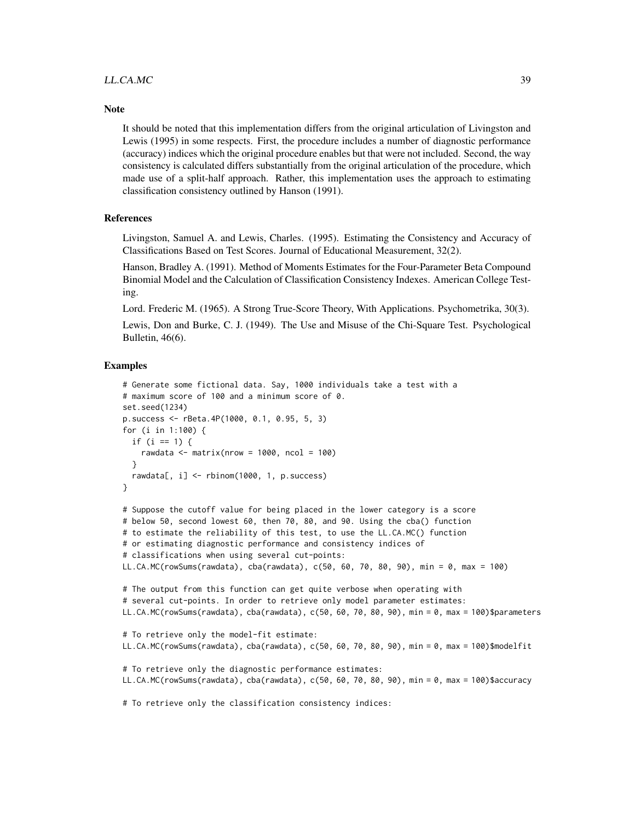### LL.CA.MC 39

#### **Note**

It should be noted that this implementation differs from the original articulation of Livingston and Lewis (1995) in some respects. First, the procedure includes a number of diagnostic performance (accuracy) indices which the original procedure enables but that were not included. Second, the way consistency is calculated differs substantially from the original articulation of the procedure, which made use of a split-half approach. Rather, this implementation uses the approach to estimating classification consistency outlined by Hanson (1991).

#### References

Livingston, Samuel A. and Lewis, Charles. (1995). Estimating the Consistency and Accuracy of Classifications Based on Test Scores. Journal of Educational Measurement, 32(2).

Hanson, Bradley A. (1991). Method of Moments Estimates for the Four-Parameter Beta Compound Binomial Model and the Calculation of Classification Consistency Indexes. American College Testing.

Lord. Frederic M. (1965). A Strong True-Score Theory, With Applications. Psychometrika, 30(3).

Lewis, Don and Burke, C. J. (1949). The Use and Misuse of the Chi-Square Test. Psychological Bulletin, 46(6).

```
# Generate some fictional data. Say, 1000 individuals take a test with a
# maximum score of 100 and a minimum score of 0.
set.seed(1234)
p.success <- rBeta.4P(1000, 0.1, 0.95, 5, 3)
for (i in 1:100) {
 if (i == 1) {
    rawdata \leq matrix(nrow = 1000, ncol = 100)
 }
 rawdata[, i] <- rbinom(1000, 1, p.success)
}
# Suppose the cutoff value for being placed in the lower category is a score
# below 50, second lowest 60, then 70, 80, and 90. Using the cba() function
# to estimate the reliability of this test, to use the LL.CA.MC() function
# or estimating diagnostic performance and consistency indices of
# classifications when using several cut-points:
LL.CA.MC(rowSums(rawdata), cba(rawdata), c(50, 60, 70, 80, 90), min = 0, max = 100)
# The output from this function can get quite verbose when operating with
# several cut-points. In order to retrieve only model parameter estimates:
LL.CA.MC(rowSums(rawdata), cba(rawdata), c(50, 60, 70, 80, 90), min = 0, max = 100)$parameters
# To retrieve only the model-fit estimate:
LL.CA.MC(rowSums(rawdata), cba(rawdata), c(50, 60, 70, 80, 90), min = 0, max = 100)$modelfit
# To retrieve only the diagnostic performance estimates:
LL.CA.MC(rowSums(rawdata), cba(rawdata), c(50, 60, 70, 80, 90), min = 0, max = 100)$accuracy
# To retrieve only the classification consistency indices:
```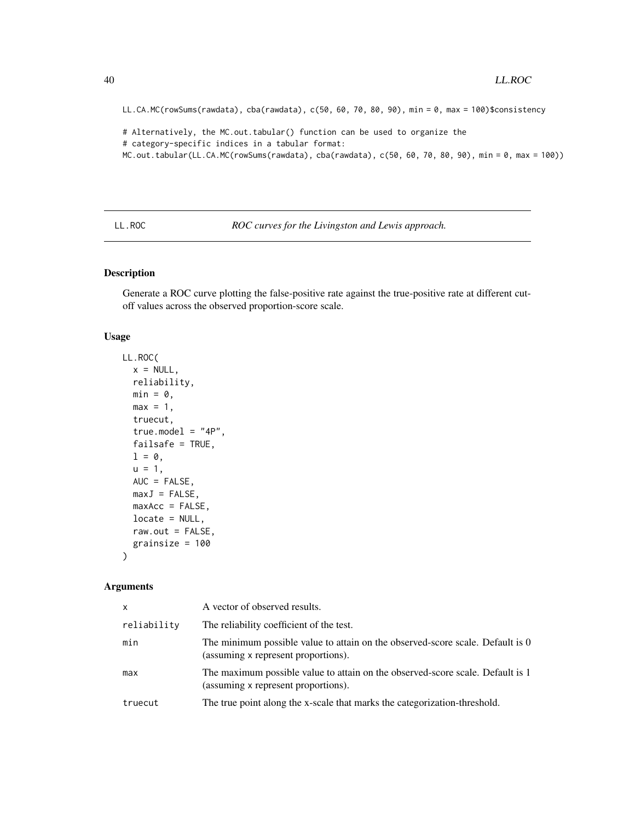LL.CA.MC(rowSums(rawdata), cba(rawdata), c(50, 60, 70, 80, 90), min = 0, max = 100)\$consistency

# Alternatively, the MC.out.tabular() function can be used to organize the # category-specific indices in a tabular format: MC.out.tabular(LL.CA.MC(rowSums(rawdata), cba(rawdata), c(50, 60, 70, 80, 90), min = 0, max = 100))

LL.ROC *ROC curves for the Livingston and Lewis approach.*

### Description

Generate a ROC curve plotting the false-positive rate against the true-positive rate at different cutoff values across the observed proportion-score scale.

### Usage

```
LL.ROC(
  x = NULL,reliability,
 min = 0,
 max = 1,
  truecut,
  true.model = "4P",failsafe = TRUE,
  1 = 0,
 u = 1,
  AUC = FALSE,
 maxJ = FALSE,maxAcc = FALSE,locate = NULL,
  raw.out = FALSE,grainsize = 100
)
```

| X           | A vector of observed results.                                                                                         |
|-------------|-----------------------------------------------------------------------------------------------------------------------|
| reliability | The reliability coefficient of the test.                                                                              |
| min         | The minimum possible value to attain on the observed-score scale. Default is 0<br>(assuming x represent proportions). |
| max         | The maximum possible value to attain on the observed-score scale. Default is 1<br>(assuming x represent proportions). |
| truecut     | The true point along the x-scale that marks the categorization-threshold.                                             |

<span id="page-39-0"></span>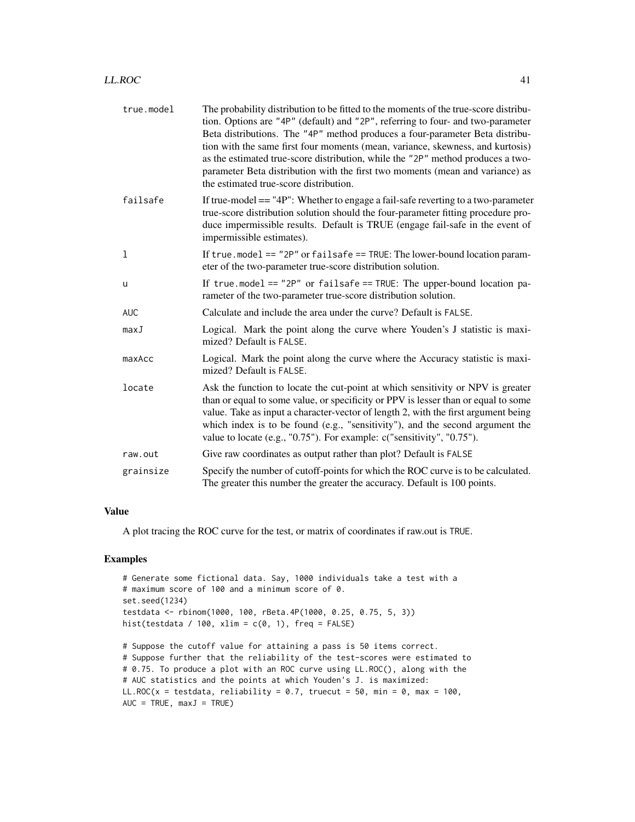| true.model | The probability distribution to be fitted to the moments of the true-score distribu-<br>tion. Options are "4P" (default) and "2P", referring to four- and two-parameter<br>Beta distributions. The "4P" method produces a four-parameter Beta distribu-<br>tion with the same first four moments (mean, variance, skewness, and kurtosis)<br>as the estimated true-score distribution, while the "2P" method produces a two-<br>parameter Beta distribution with the first two moments (mean and variance) as<br>the estimated true-score distribution. |
|------------|---------------------------------------------------------------------------------------------------------------------------------------------------------------------------------------------------------------------------------------------------------------------------------------------------------------------------------------------------------------------------------------------------------------------------------------------------------------------------------------------------------------------------------------------------------|
| failsafe   | If true-model $==$ "4P": Whether to engage a fail-safe reverting to a two-parameter<br>true-score distribution solution should the four-parameter fitting procedure pro-<br>duce impermissible results. Default is TRUE (engage fail-safe in the event of<br>impermissible estimates).                                                                                                                                                                                                                                                                  |
| 1          | If true . model == "2P" or failsafe == TRUE: The lower-bound location param-<br>eter of the two-parameter true-score distribution solution.                                                                                                                                                                                                                                                                                                                                                                                                             |
| u          | If true model == "2P" or failsafe == TRUE: The upper-bound location pa-<br>rameter of the two-parameter true-score distribution solution.                                                                                                                                                                                                                                                                                                                                                                                                               |
| <b>AUC</b> | Calculate and include the area under the curve? Default is FALSE.                                                                                                                                                                                                                                                                                                                                                                                                                                                                                       |
| maxJ       | Logical. Mark the point along the curve where Youden's J statistic is maxi-<br>mized? Default is FALSE.                                                                                                                                                                                                                                                                                                                                                                                                                                                 |
| maxAcc     | Logical. Mark the point along the curve where the Accuracy statistic is maxi-<br>mized? Default is FALSE.                                                                                                                                                                                                                                                                                                                                                                                                                                               |
| locate     | Ask the function to locate the cut-point at which sensitivity or NPV is greater<br>than or equal to some value, or specificity or PPV is lesser than or equal to some<br>value. Take as input a character-vector of length 2, with the first argument being<br>which index is to be found (e.g., "sensitivity"), and the second argument the<br>value to locate (e.g., "0.75"). For example: c("sensitivity", "0.75").                                                                                                                                  |
| raw.out    | Give raw coordinates as output rather than plot? Default is FALSE                                                                                                                                                                                                                                                                                                                                                                                                                                                                                       |
| grainsize  | Specify the number of cutoff-points for which the ROC curve is to be calculated.<br>The greater this number the greater the accuracy. Default is 100 points.                                                                                                                                                                                                                                                                                                                                                                                            |

### Value

A plot tracing the ROC curve for the test, or matrix of coordinates if raw.out is TRUE.

### Examples

 $AUC = TRUE, maxJ = TRUE$ 

```
# Generate some fictional data. Say, 1000 individuals take a test with a
# maximum score of 100 and a minimum score of 0.
set.seed(1234)
testdata <- rbinom(1000, 100, rBeta.4P(1000, 0.25, 0.75, 5, 3))
hist(testdata / 100, xlim = c(0, 1), freq = FALSE)
# Suppose the cutoff value for attaining a pass is 50 items correct.
# Suppose further that the reliability of the test-scores were estimated to
# 0.75. To produce a plot with an ROC curve using LL.ROC(), along with the
# AUC statistics and the points at which Youden's J. is maximized:
LL.ROC(x = testdata, reliability = 0.7, truecut = 50, min = 0, max = 100,
```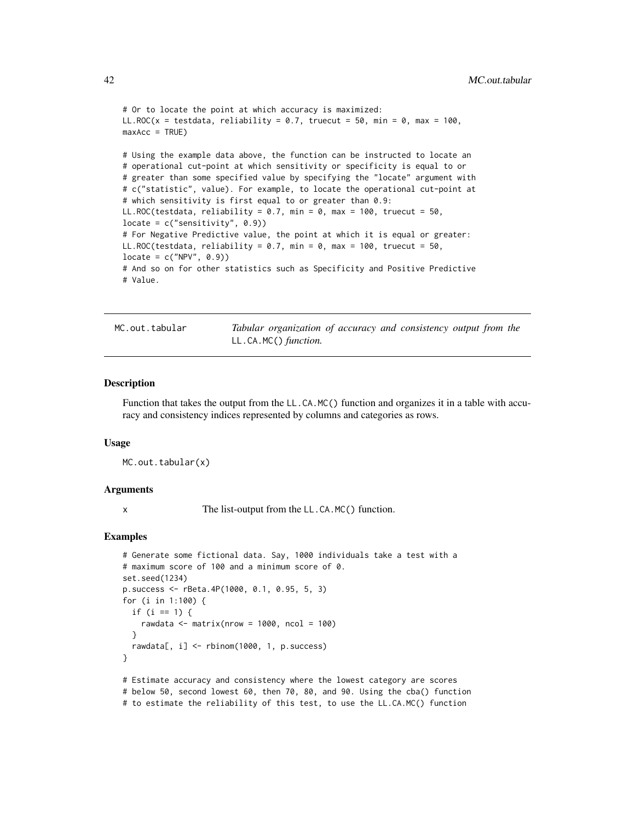```
# Or to locate the point at which accuracy is maximized:
LL.ROC(x = testdata, reliability = 0.7, truecut = 50, min = 0, max = 100,
maxAcc = TRUE)
# Using the example data above, the function can be instructed to locate an
# operational cut-point at which sensitivity or specificity is equal to or
# greater than some specified value by specifying the "locate" argument with
# c("statistic", value). For example, to locate the operational cut-point at
# which sensitivity is first equal to or greater than 0.9:
LL.ROC(testdata, reliability = 0.7, min = 0, max = 100, truecut = 50,
locate = c("sensitivity", 0.9))
# For Negative Predictive value, the point at which it is equal or greater:
LL.ROC(testdata, reliability = 0.7, min = 0, max = 100, truecut = 50,
locate = c("NPV", 0.9))# And so on for other statistics such as Specificity and Positive Predictive
# Value.
```
MC.out.tabular *Tabular organization of accuracy and consistency output from the* LL.CA.MC() *function.*

#### **Description**

Function that takes the output from the LL.CA.MC() function and organizes it in a table with accuracy and consistency indices represented by columns and categories as rows.

#### Usage

MC.out.tabular(x)

#### Arguments

x The list-output from the LL.CA.MC() function.

```
# Generate some fictional data. Say, 1000 individuals take a test with a
# maximum score of 100 and a minimum score of 0.
set.seed(1234)
p.success <- rBeta.4P(1000, 0.1, 0.95, 5, 3)
for (i in 1:100) {
 if (i == 1) {
   rawdata \leq matrix(nrow = 1000, ncol = 100)
 }
 rawdata[, i] <- rbinom(1000, 1, p.success)
}
# Estimate accuracy and consistency where the lowest category are scores
# below 50, second lowest 60, then 70, 80, and 90. Using the cba() function
# to estimate the reliability of this test, to use the LL.CA.MC() function
```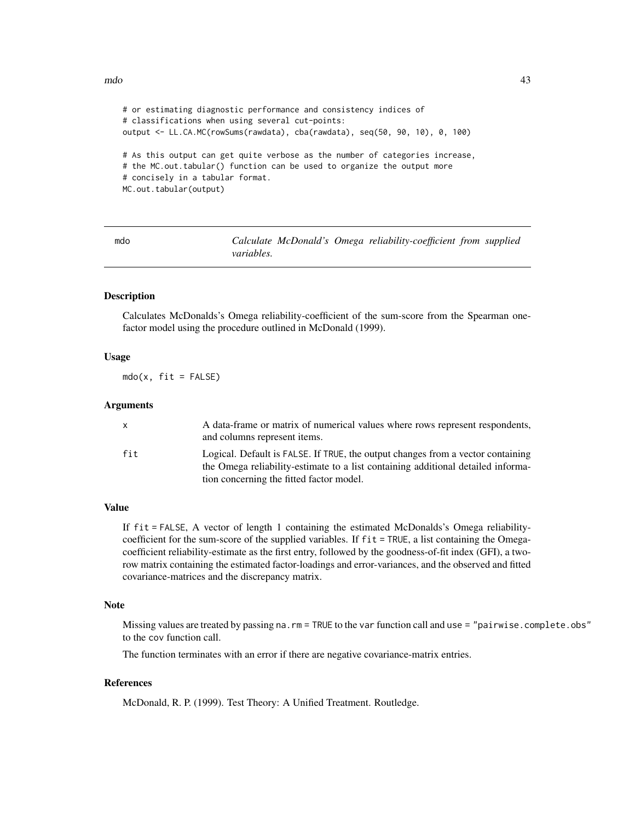```
# or estimating diagnostic performance and consistency indices of
# classifications when using several cut-points:
output <- LL.CA.MC(rowSums(rawdata), cba(rawdata), seq(50, 90, 10), 0, 100)
# As this output can get quite verbose as the number of categories increase,
# the MC.out.tabular() function can be used to organize the output more
# concisely in a tabular format.
MC.out.tabular(output)
```

| mdo |                   |  | Calculate McDonald's Omega reliability-coefficient from supplied |  |
|-----|-------------------|--|------------------------------------------------------------------|--|
|     | <i>variables.</i> |  |                                                                  |  |

### Description

Calculates McDonalds's Omega reliability-coefficient of the sum-score from the Spearman onefactor model using the procedure outlined in McDonald (1999).

#### Usage

 $mdo(x, fit = FALSE)$ 

#### Arguments

| x   | A data-frame or matrix of numerical values where rows represent respondents,<br>and columns represent items.                                                        |
|-----|---------------------------------------------------------------------------------------------------------------------------------------------------------------------|
| fit | Logical. Default is FALSE. If TRUE, the output changes from a vector containing<br>the Omega reliability-estimate to a list containing additional detailed informa- |
|     | tion concerning the fitted factor model.                                                                                                                            |

### Value

If fit = FALSE, A vector of length 1 containing the estimated McDonalds's Omega reliabilitycoefficient for the sum-score of the supplied variables. If fit = TRUE, a list containing the Omegacoefficient reliability-estimate as the first entry, followed by the goodness-of-fit index (GFI), a tworow matrix containing the estimated factor-loadings and error-variances, and the observed and fitted covariance-matrices and the discrepancy matrix.

#### Note

Missing values are treated by passing na.rm = TRUE to the var function call and use = "pairwise.complete.obs" to the cov function call.

The function terminates with an error if there are negative covariance-matrix entries.

#### **References**

McDonald, R. P. (1999). Test Theory: A Unified Treatment. Routledge.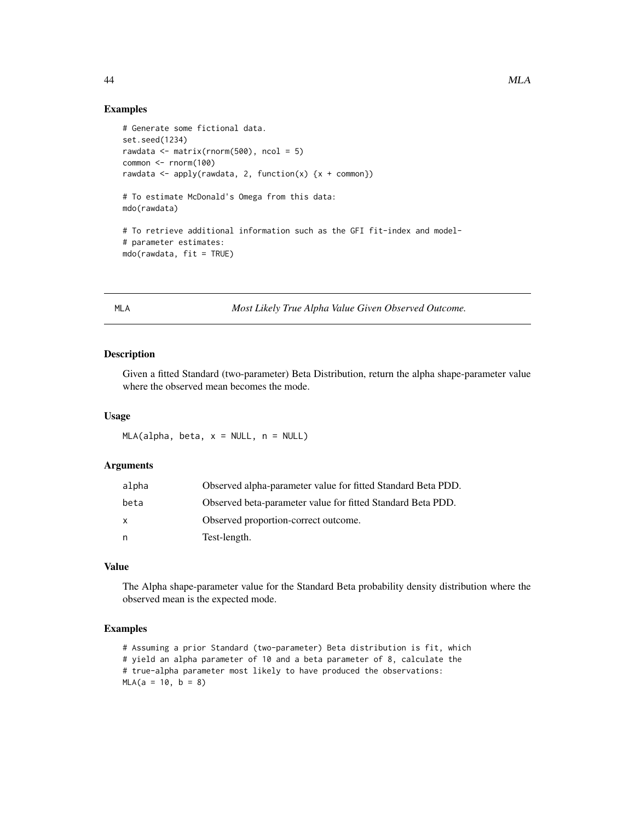### Examples

```
# Generate some fictional data.
set.seed(1234)
rawdata \leq matrix(rnorm(500), ncol = 5)
common <- rnorm(100)
rawdata <- apply(rawdata, 2, function(x) \{x + \text{common}\}\# To estimate McDonald's Omega from this data:
mdo(rawdata)
# To retrieve additional information such as the GFI fit-index and model-
# parameter estimates:
mdo(rawdata, fit = TRUE)
```
MLA *Most Likely True Alpha Value Given Observed Outcome.*

### Description

Given a fitted Standard (two-parameter) Beta Distribution, return the alpha shape-parameter value where the observed mean becomes the mode.

### Usage

 $MLA$ (alpha, beta,  $x = NULL$ ,  $n = NULL$ )

#### Arguments

| alpha | Observed alpha-parameter value for fitted Standard Beta PDD. |
|-------|--------------------------------------------------------------|
| beta  | Observed beta-parameter value for fitted Standard Beta PDD.  |
| X     | Observed proportion-correct outcome.                         |
| n     | Test-length.                                                 |

### Value

The Alpha shape-parameter value for the Standard Beta probability density distribution where the observed mean is the expected mode.

```
# Assuming a prior Standard (two-parameter) Beta distribution is fit, which
# yield an alpha parameter of 10 and a beta parameter of 8, calculate the
# true-alpha parameter most likely to have produced the observations:
MLA(a = 10, b = 8)
```
<span id="page-43-0"></span>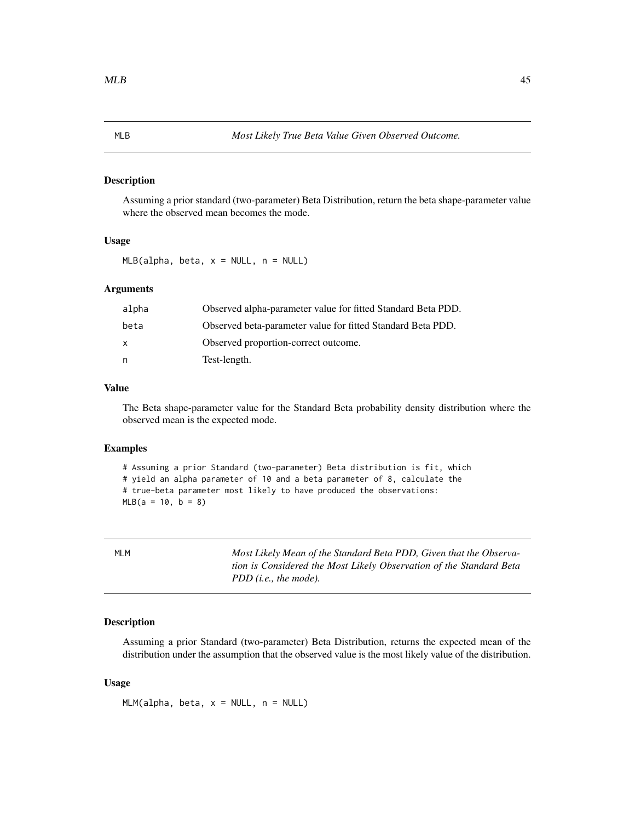#### <span id="page-44-0"></span>Description

Assuming a prior standard (two-parameter) Beta Distribution, return the beta shape-parameter value where the observed mean becomes the mode.

#### Usage

 $MLB$ (alpha, beta,  $x = NULL$ , n = NULL)

#### Arguments

| alpha | Observed alpha-parameter value for fitted Standard Beta PDD. |
|-------|--------------------------------------------------------------|
| beta  | Observed beta-parameter value for fitted Standard Beta PDD.  |
| x     | Observed proportion-correct outcome.                         |
| n     | Test-length.                                                 |

### Value

The Beta shape-parameter value for the Standard Beta probability density distribution where the observed mean is the expected mode.

### Examples

```
# Assuming a prior Standard (two-parameter) Beta distribution is fit, which
# yield an alpha parameter of 10 and a beta parameter of 8, calculate the
# true-beta parameter most likely to have produced the observations:
MLB(a = 10, b = 8)
```
MLM *Most Likely Mean of the Standard Beta PDD, Given that the Observation is Considered the Most Likely Observation of the Standard Beta PDD (i.e., the mode).*

### Description

Assuming a prior Standard (two-parameter) Beta Distribution, returns the expected mean of the distribution under the assumption that the observed value is the most likely value of the distribution.

#### Usage

 $MLM(alpha, beta, x = NULL, n = NULL)$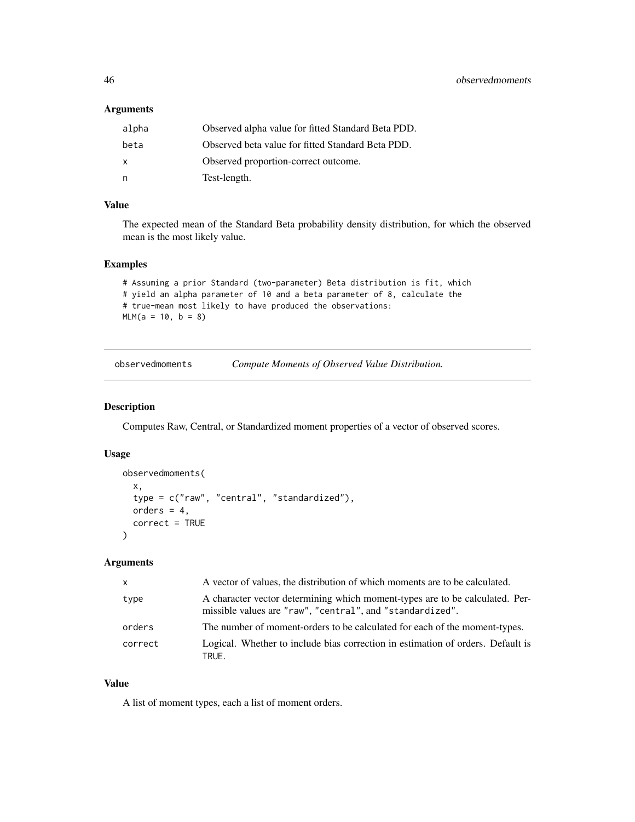### <span id="page-45-0"></span>Arguments

| alpha | Observed alpha value for fitted Standard Beta PDD. |
|-------|----------------------------------------------------|
| beta  | Observed beta value for fitted Standard Beta PDD.  |
| X     | Observed proportion-correct outcome.               |
| n.    | Test-length.                                       |

### Value

The expected mean of the Standard Beta probability density distribution, for which the observed mean is the most likely value.

### Examples

```
# Assuming a prior Standard (two-parameter) Beta distribution is fit, which
# yield an alpha parameter of 10 and a beta parameter of 8, calculate the
# true-mean most likely to have produced the observations:
MLM(a = 10, b = 8)
```

| observedmoments | Compute Moments of Observed Value Distribution. |
|-----------------|-------------------------------------------------|
|-----------------|-------------------------------------------------|

#### Description

Computes Raw, Central, or Standardized moment properties of a vector of observed scores.

#### Usage

```
observedmoments(
  x,
  type = c("raw", "central", "standardized"),
 orders = 4,
  correct = TRUE
)
```
### Arguments

| $\mathsf{x}$ | A vector of values, the distribution of which moments are to be calculated.                                                               |
|--------------|-------------------------------------------------------------------------------------------------------------------------------------------|
| type         | A character vector determining which moment-types are to be calculated. Per-<br>missible values are "raw", "central", and "standardized". |
| orders       | The number of moment-orders to be calculated for each of the moment-types.                                                                |
| correct      | Logical. Whether to include bias correction in estimation of orders. Default is<br>TRUE.                                                  |

### Value

A list of moment types, each a list of moment orders.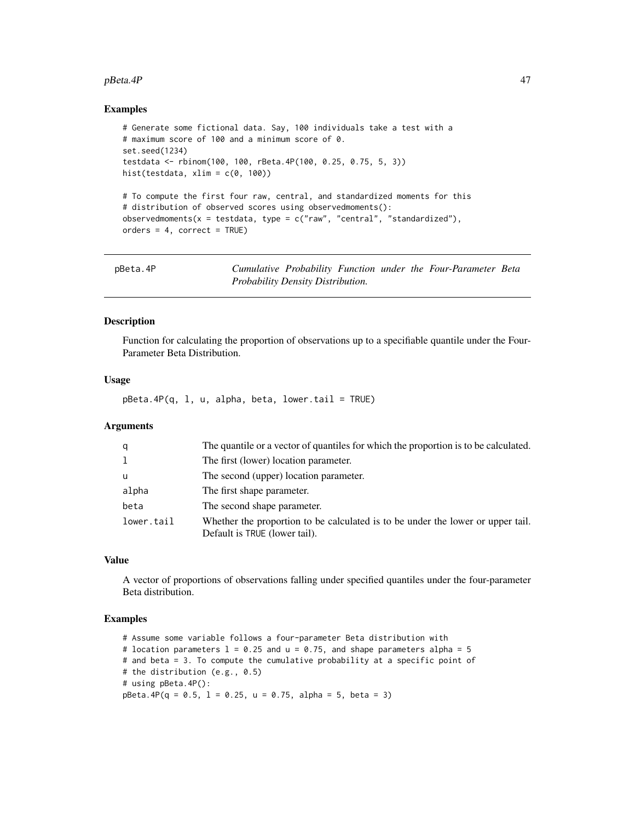#### <span id="page-46-0"></span>pBeta.4P 47

### Examples

```
# Generate some fictional data. Say, 100 individuals take a test with a
# maximum score of 100 and a minimum score of 0.
set.seed(1234)
testdata <- rbinom(100, 100, rBeta.4P(100, 0.25, 0.75, 5, 3))
hist(testdata, xlim = c(0, 100))
# To compute the first four raw, central, and standardized moments for this
# distribution of observed scores using observedmoments():
observedmoments(x = testdata, type = c("raw", "central", "standardized"),orders = 4, correct = TRUE)
```

| pBeta.4P |                                   |  |  | Cumulative Probability Function under the Four-Parameter Beta |  |
|----------|-----------------------------------|--|--|---------------------------------------------------------------|--|
|          | Probability Density Distribution. |  |  |                                                               |  |

### Description

Function for calculating the proportion of observations up to a specifiable quantile under the Four-Parameter Beta Distribution.

#### Usage

 $pBeta.4P(q, 1, u, alpha, beta, lower.tail = TRUE)$ 

### Arguments

| q          | The quantile or a vector of quantiles for which the proportion is to be calculated.                              |
|------------|------------------------------------------------------------------------------------------------------------------|
| 1          | The first (lower) location parameter.                                                                            |
| u          | The second (upper) location parameter.                                                                           |
| alpha      | The first shape parameter.                                                                                       |
| beta       | The second shape parameter.                                                                                      |
| lower.tail | Whether the proportion to be calculated is to be under the lower or upper tail.<br>Default is TRUE (lower tail). |

### Value

A vector of proportions of observations falling under specified quantiles under the four-parameter Beta distribution.

```
# Assume some variable follows a four-parameter Beta distribution with
# location parameters l = 0.25 and u = 0.75, and shape parameters alpha = 5
# and beta = 3. To compute the cumulative probability at a specific point of
# the distribution (e.g., 0.5)
# using pBeta.4P():
pBeta.AP(q = 0.5, 1 = 0.25, u = 0.75, alpha = 5, beta = 3)
```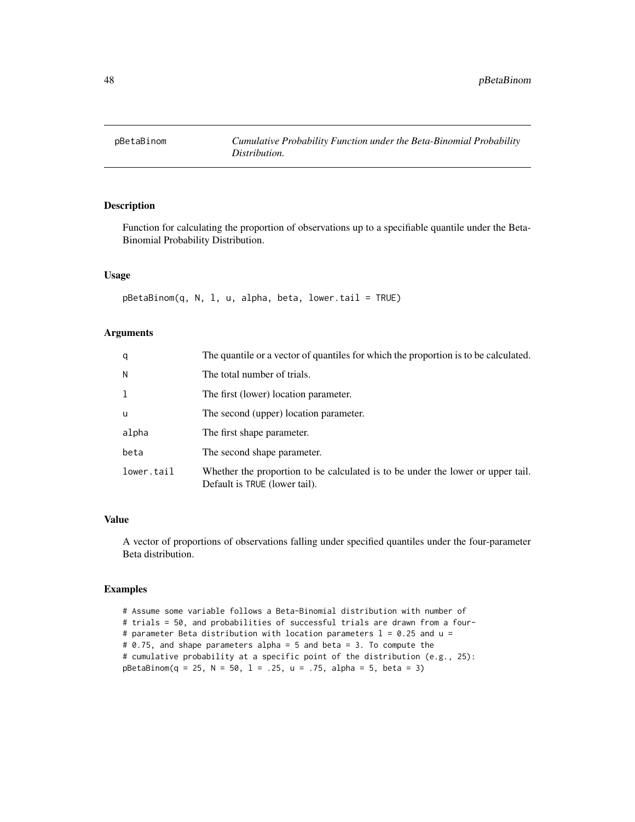<span id="page-47-0"></span>

### Description

Function for calculating the proportion of observations up to a specifiable quantile under the Beta-Binomial Probability Distribution.

### Usage

```
pBetaBinom(q, N, l, u, alpha, beta, lower.tail = TRUE)
```
### Arguments

| q          | The quantile or a vector of quantiles for which the proportion is to be calculated.                              |
|------------|------------------------------------------------------------------------------------------------------------------|
| N          | The total number of trials.                                                                                      |
| 1          | The first (lower) location parameter.                                                                            |
| u          | The second (upper) location parameter.                                                                           |
| alpha      | The first shape parameter.                                                                                       |
| beta       | The second shape parameter.                                                                                      |
| lower.tail | Whether the proportion to be calculated is to be under the lower or upper tail.<br>Default is TRUE (lower tail). |

### Value

A vector of proportions of observations falling under specified quantiles under the four-parameter Beta distribution.

```
# Assume some variable follows a Beta-Binomial distribution with number of
# trials = 50, and probabilities of successful trials are drawn from a four-
# parameter Beta distribution with location parameters l = 0.25 and u =# 0.75, and shape parameters alpha = 5 and beta = 3. To compute the
# cumulative probability at a specific point of the distribution (e.g., 25):
pBetaBinom(q = 25, N = 50, 1 = .25, u = .75, alpha = 5, beta = 3)
```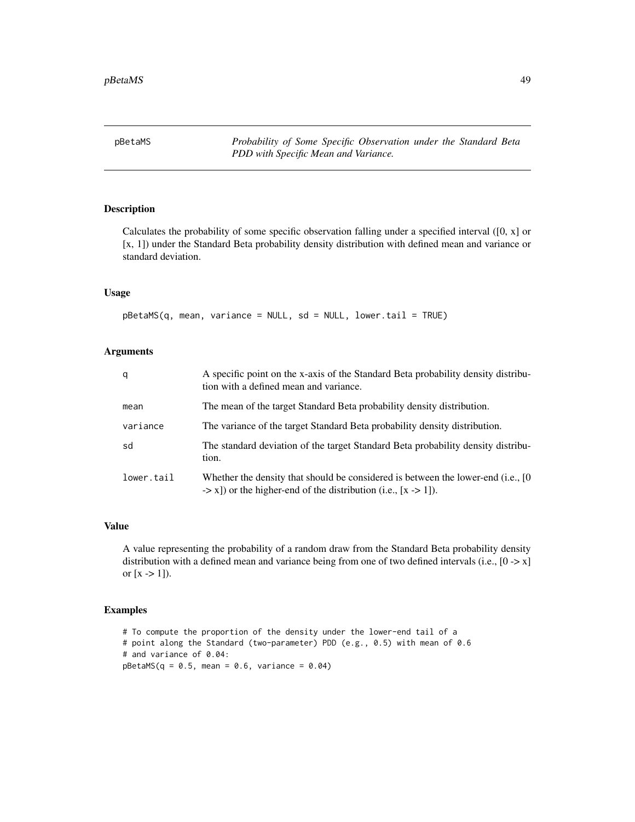<span id="page-48-0"></span>pBetaMS *Probability of Some Specific Observation under the Standard Beta PDD with Specific Mean and Variance.*

### Description

Calculates the probability of some specific observation falling under a specified interval ([0, x] or [x, 1]) under the Standard Beta probability density distribution with defined mean and variance or standard deviation.

### Usage

pBetaMS(q, mean, variance = NULL, sd = NULL, lower.tail = TRUE)

### Arguments

| q          | A specific point on the x-axis of the Standard Beta probability density distribu-<br>tion with a defined mean and variance.                                               |
|------------|---------------------------------------------------------------------------------------------------------------------------------------------------------------------------|
| mean       | The mean of the target Standard Beta probability density distribution.                                                                                                    |
| variance   | The variance of the target Standard Beta probability density distribution.                                                                                                |
| sd         | The standard deviation of the target Standard Beta probability density distribu-<br>tion.                                                                                 |
| lower.tail | Whether the density that should be considered is between the lower-end (i.e., [0]<br>$\rightarrow$ x]) or the higher-end of the distribution (i.e., [x $\rightarrow$ 1]). |

### Value

A value representing the probability of a random draw from the Standard Beta probability density distribution with a defined mean and variance being from one of two defined intervals (i.e.,  $[0 \rightarrow x]$ ) or  $[x \rightarrow 1]$ .

```
# To compute the proportion of the density under the lower-end tail of a
# point along the Standard (two-parameter) PDD (e.g., 0.5) with mean of 0.6
# and variance of 0.04:
pBetaMS(q = 0.5, mean = 0.6, variance = 0.04)
```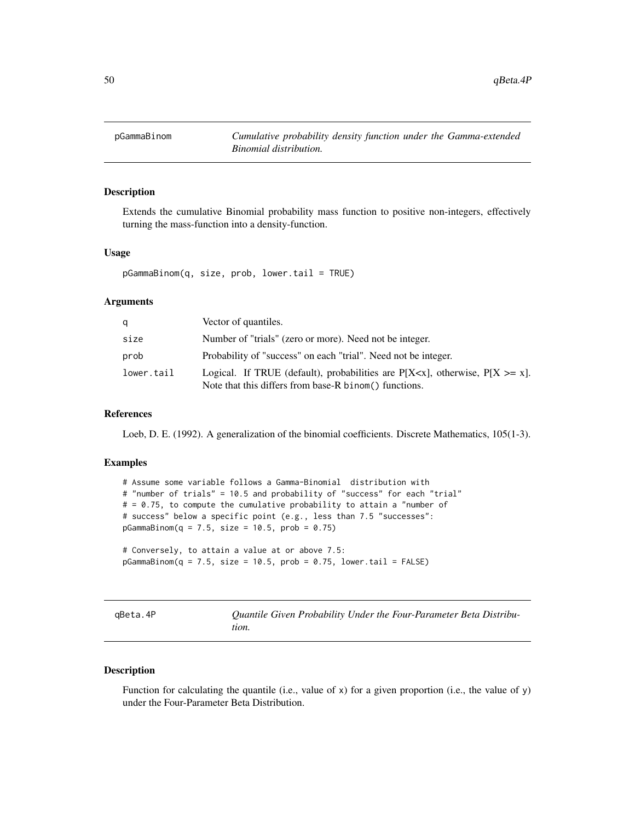<span id="page-49-0"></span>

#### Description

Extends the cumulative Binomial probability mass function to positive non-integers, effectively turning the mass-function into a density-function.

### Usage

pGammaBinom(q, size, prob, lower.tail = TRUE)

### Arguments

| q          | Vector of quantiles.                                                                                                                            |
|------------|-------------------------------------------------------------------------------------------------------------------------------------------------|
| size       | Number of "trials" (zero or more). Need not be integer.                                                                                         |
| prob       | Probability of "success" on each "trial". Need not be integer.                                                                                  |
| lower.tail | Logical. If TRUE (default), probabilities are $P[X \le x]$ , otherwise, $P[X \ge x]$ .<br>Note that this differs from base-R binom() functions. |

#### References

Loeb, D. E. (1992). A generalization of the binomial coefficients. Discrete Mathematics, 105(1-3).

#### Examples

# Assume some variable follows a Gamma-Binomial distribution with # "number of trials" = 10.5 and probability of "success" for each "trial"  $# = 0.75$ , to compute the cumulative probability to attain a "number of # success" below a specific point (e.g., less than 7.5 "successes":  $pGamma(B = 7.5, size = 10.5, prob = 0.75)$ 

# Conversely, to attain a value at or above 7.5:  $pGamma(B = 7.5, size = 10.5, prob = 0.75, lower.tail = FALSE)$ 

qBeta.4P *Quantile Given Probability Under the Four-Parameter Beta Distribution.*

### Description

Function for calculating the quantile (i.e., value of x) for a given proportion (i.e., the value of y) under the Four-Parameter Beta Distribution.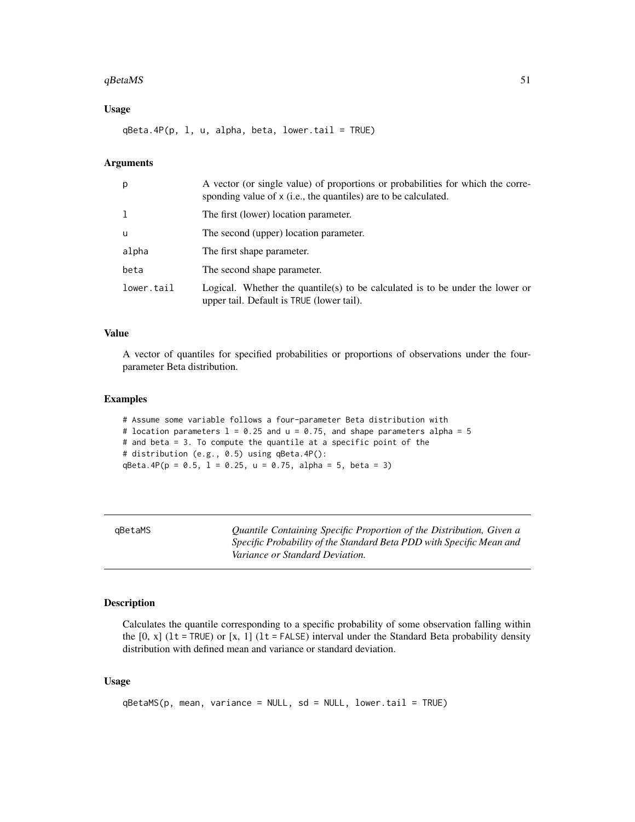#### <span id="page-50-0"></span>qBetaMS 51

### Usage

 $qBeta.4P(p, 1, u, alpha, beta, lower.tail = TRUE)$ 

### Arguments

| p            | A vector (or single value) of proportions or probabilities for which the corre-<br>sponding value of x (i.e., the quantiles) are to be calculated. |
|--------------|----------------------------------------------------------------------------------------------------------------------------------------------------|
| $\mathbf{1}$ | The first (lower) location parameter.                                                                                                              |
| <b>u</b>     | The second (upper) location parameter.                                                                                                             |
| alpha        | The first shape parameter.                                                                                                                         |
| beta         | The second shape parameter.                                                                                                                        |
| lower.tail   | Logical. Whether the quantile(s) to be calculated is to be under the lower or<br>upper tail. Default is TRUE (lower tail).                         |

### Value

A vector of quantiles for specified probabilities or proportions of observations under the fourparameter Beta distribution.

### Examples

```
# Assume some variable follows a four-parameter Beta distribution with
# location parameters l = 0.25 and u = 0.75, and shape parameters alpha = 5
# and beta = 3. To compute the quantile at a specific point of the
# distribution (e.g., 0.5) using qBeta.4P():
qBeta.4P(p = 0.5, 1 = 0.25, u = 0.75, alpha = 5, beta = 3)
```

| qBetaMS | Quantile Containing Specific Proportion of the Distribution, Given a<br>Specific Probability of the Standard Beta PDD with Specific Mean and<br>Variance or Standard Deviation. |
|---------|---------------------------------------------------------------------------------------------------------------------------------------------------------------------------------|
|         |                                                                                                                                                                                 |

### Description

Calculates the quantile corresponding to a specific probability of some observation falling within the  $[0, x]$  (1t = TRUE) or  $[x, 1]$  (1t = FALSE) interval under the Standard Beta probability density distribution with defined mean and variance or standard deviation.

#### Usage

```
qBetaMS(p, mean, variance = NULL, sd = NULL, lower.tail = TRUE)
```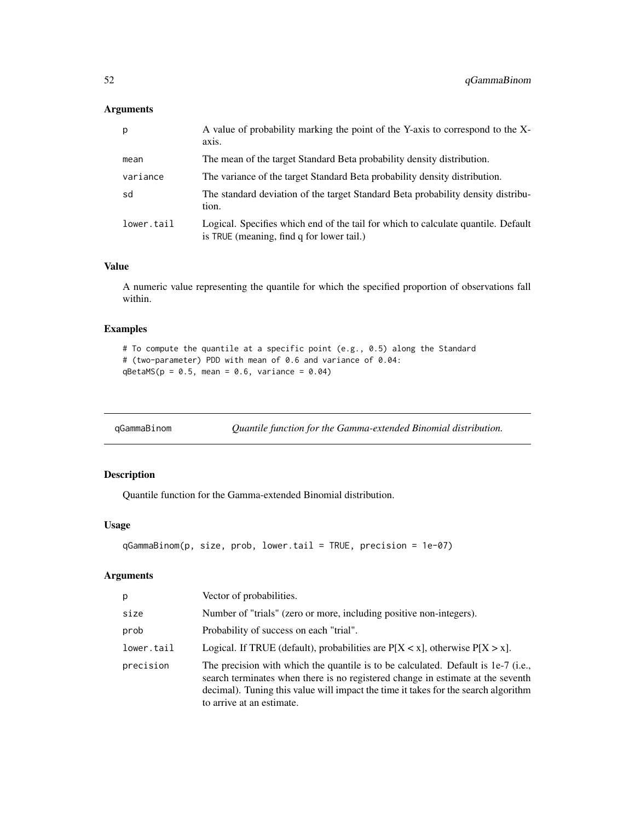### <span id="page-51-0"></span>Arguments

| p          | A value of probability marking the point of the Y-axis to correspond to the X-<br>axis.                                        |
|------------|--------------------------------------------------------------------------------------------------------------------------------|
| mean       | The mean of the target Standard Beta probability density distribution.                                                         |
| variance   | The variance of the target Standard Beta probability density distribution.                                                     |
| sd         | The standard deviation of the target Standard Beta probability density distribu-<br>tion.                                      |
| lower.tail | Logical. Specifies which end of the tail for which to calculate quantile. Default<br>is TRUE (meaning, find q for lower tail.) |

### Value

A numeric value representing the quantile for which the specified proportion of observations fall within.

### Examples

```
# To compute the quantile at a specific point (e.g., 0.5) along the Standard
# (two-parameter) PDD with mean of 0.6 and variance of 0.04:
qBetaMS(p = 0.5, mean = 0.6, variance = 0.04)
```
qGammaBinom *Quantile function for the Gamma-extended Binomial distribution.*

### Description

Quantile function for the Gamma-extended Binomial distribution.

### Usage

```
qGammaBinom(p, size, prob, lower.tail = TRUE, precision = 1e-07)
```

| p          | Vector of probabilities.                                                                                                                                                                                                                                                                |
|------------|-----------------------------------------------------------------------------------------------------------------------------------------------------------------------------------------------------------------------------------------------------------------------------------------|
| size       | Number of "trials" (zero or more, including positive non-integers).                                                                                                                                                                                                                     |
| prob       | Probability of success on each "trial".                                                                                                                                                                                                                                                 |
| lower.tail | Logical. If TRUE (default), probabilities are $P[X \le x]$ , otherwise $P[X > x]$ .                                                                                                                                                                                                     |
| precision  | The precision with which the quantile is to be calculated. Default is 1e-7 (i.e.,<br>search terminates when there is no registered change in estimate at the seventh<br>decimal). Tuning this value will impact the time it takes for the search algorithm<br>to arrive at an estimate. |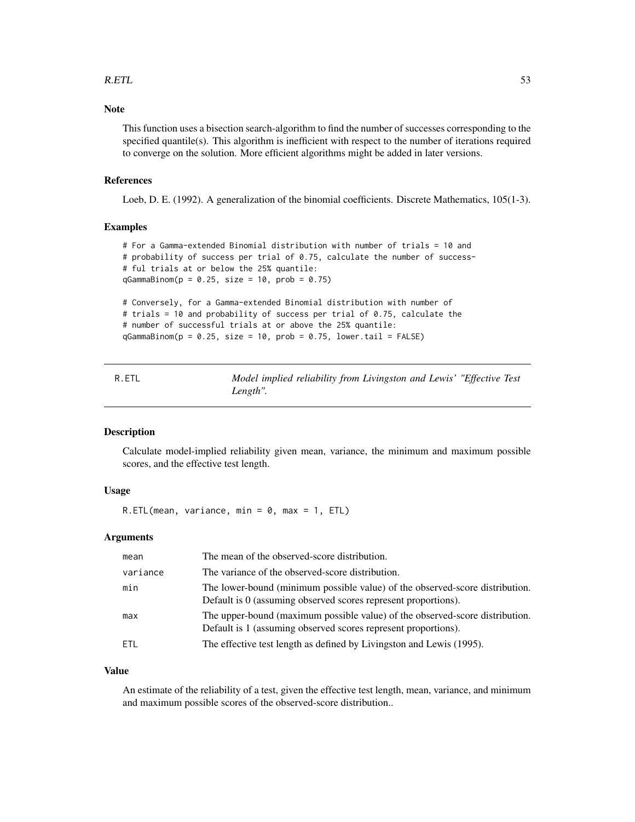#### <span id="page-52-0"></span> $R.ETL$  53

### Note

This function uses a bisection search-algorithm to find the number of successes corresponding to the specified quantile(s). This algorithm is inefficient with respect to the number of iterations required to converge on the solution. More efficient algorithms might be added in later versions.

#### References

Loeb, D. E. (1992). A generalization of the binomial coefficients. Discrete Mathematics, 105(1-3).

### Examples

```
# For a Gamma-extended Binomial distribution with number of trials = 10 and
# probability of success per trial of 0.75, calculate the number of success-
# ful trials at or below the 25% quantile:
qGamma(B = 0.25, size = 10, prob = 0.75)# Conversely, for a Gamma-extended Binomial distribution with number of
# trials = 10 and probability of success per trial of 0.75, calculate the
```

```
# number of successful trials at or above the 25% quantile:
qGammaBinom(p = 0.25, size = 10, prob = 0.75, lower.tail = FALSE)
```

| R.ETL |          |  | Model implied reliability from Livingston and Lewis' "Effective Test |  |  |
|-------|----------|--|----------------------------------------------------------------------|--|--|
|       | Length". |  |                                                                      |  |  |

### Description

Calculate model-implied reliability given mean, variance, the minimum and maximum possible scores, and the effective test length.

### Usage

 $R.ETL(mean, variance, min = 0, max = 1, ETL)$ 

### Arguments

| mean     | The mean of the observed-score distribution.                                                                                                   |
|----------|------------------------------------------------------------------------------------------------------------------------------------------------|
| variance | The variance of the observed-score distribution.                                                                                               |
| min      | The lower-bound (minimum possible value) of the observed-score distribution.<br>Default is 0 (assuming observed scores represent proportions). |
| max      | The upper-bound (maximum possible value) of the observed-score distribution.<br>Default is 1 (assuming observed scores represent proportions). |
| ETL.     | The effective test length as defined by Livingston and Lewis (1995).                                                                           |

#### Value

An estimate of the reliability of a test, given the effective test length, mean, variance, and minimum and maximum possible scores of the observed-score distribution..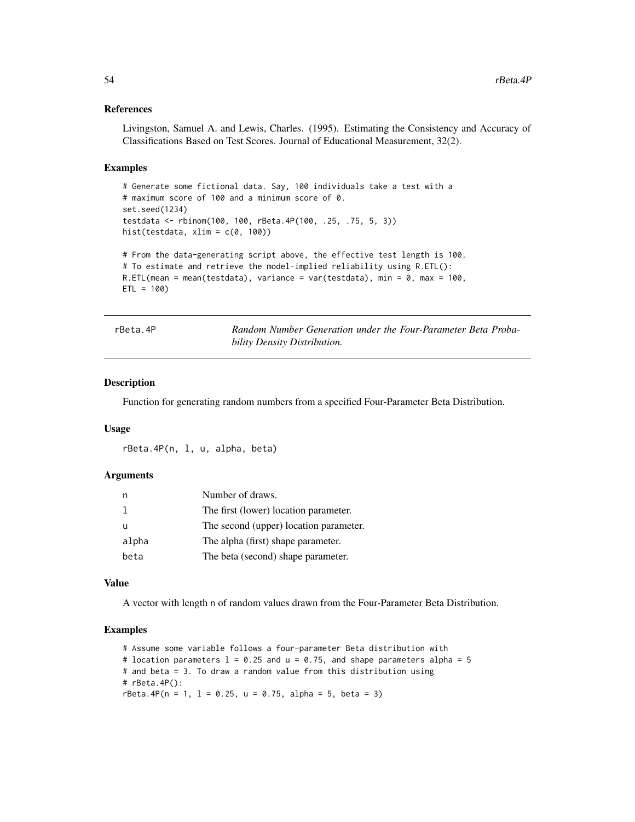#### References

Livingston, Samuel A. and Lewis, Charles. (1995). Estimating the Consistency and Accuracy of Classifications Based on Test Scores. Journal of Educational Measurement, 32(2).

#### Examples

```
# Generate some fictional data. Say, 100 individuals take a test with a
# maximum score of 100 and a minimum score of 0.
set.seed(1234)
testdata <- rbinom(100, 100, rBeta.4P(100, .25, .75, 5, 3))
hist(testdata, xlim = c(\theta, 100))
# From the data-generating script above, the effective test length is 100.
# To estimate and retrieve the model-implied reliability using R.ETL():
R.ETL(mean = mean(testdata), variance = var(testdata), min = 0, max = 100,
ETL = 100
```
rBeta.4P *Random Number Generation under the Four-Parameter Beta Probability Density Distribution.*

#### Description

Function for generating random numbers from a specified Four-Parameter Beta Distribution.

#### Usage

```
rBeta.4P(n, l, u, alpha, beta)
```
#### Arguments

|       | Number of draws.                       |
|-------|----------------------------------------|
|       | The first (lower) location parameter.  |
|       | The second (upper) location parameter. |
| alpha | The alpha (first) shape parameter.     |
| beta  | The beta (second) shape parameter.     |

#### Value

A vector with length n of random values drawn from the Four-Parameter Beta Distribution.

```
# Assume some variable follows a four-parameter Beta distribution with
# location parameters l = 0.25 and u = 0.75, and shape parameters alpha = 5
# and beta = 3. To draw a random value from this distribution using
# rBeta.4P():
rBeta.4P(n = 1, 1 = 0.25, u = 0.75, alpha = 5, beta = 3)
```
<span id="page-53-0"></span>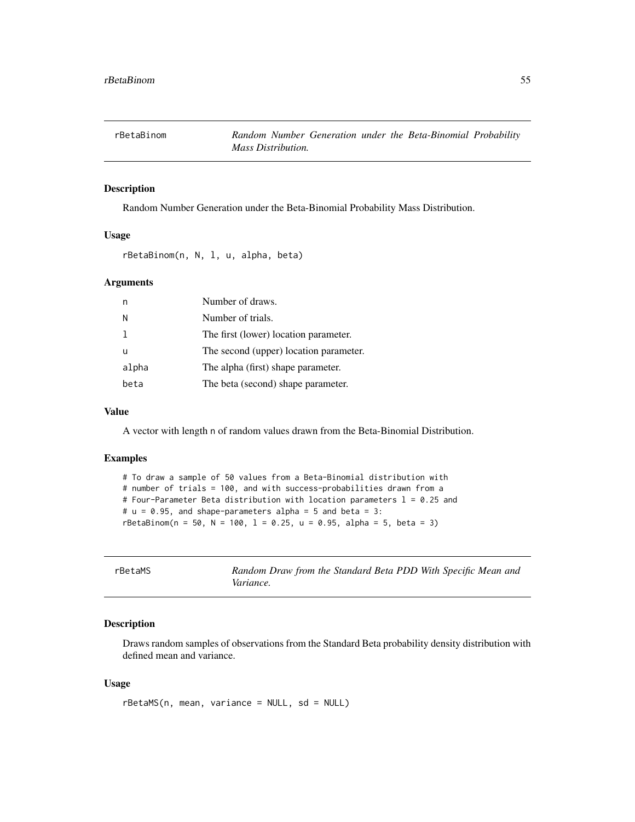<span id="page-54-0"></span>

### Description

Random Number Generation under the Beta-Binomial Probability Mass Distribution.

#### Usage

rBetaBinom(n, N, l, u, alpha, beta)

#### Arguments

|       | Number of draws.                       |
|-------|----------------------------------------|
| N     | Number of trials.                      |
|       | The first (lower) location parameter.  |
| u     | The second (upper) location parameter. |
| alpha | The alpha (first) shape parameter.     |
| beta  | The beta (second) shape parameter.     |

### Value

A vector with length n of random values drawn from the Beta-Binomial Distribution.

### Examples

```
# To draw a sample of 50 values from a Beta-Binomial distribution with
# number of trials = 100, and with success-probabilities drawn from a
# Four-Parameter Beta distribution with location parameters l = 0.25 and
# u = 0.95, and shape-parameters alpha = 5 and beta = 3:
rBetaBinom(n = 50, N = 100, 1 = 0.25, u = 0.95, alpha = 5, beta = 3)
```

| rBetaMS |  |
|---------|--|
|---------|--|

**Random Draw from the Standard Beta PDD With Specific Mean and** *Variance.*

#### Description

Draws random samples of observations from the Standard Beta probability density distribution with defined mean and variance.

#### Usage

rBetaMS(n, mean, variance = NULL, sd = NULL)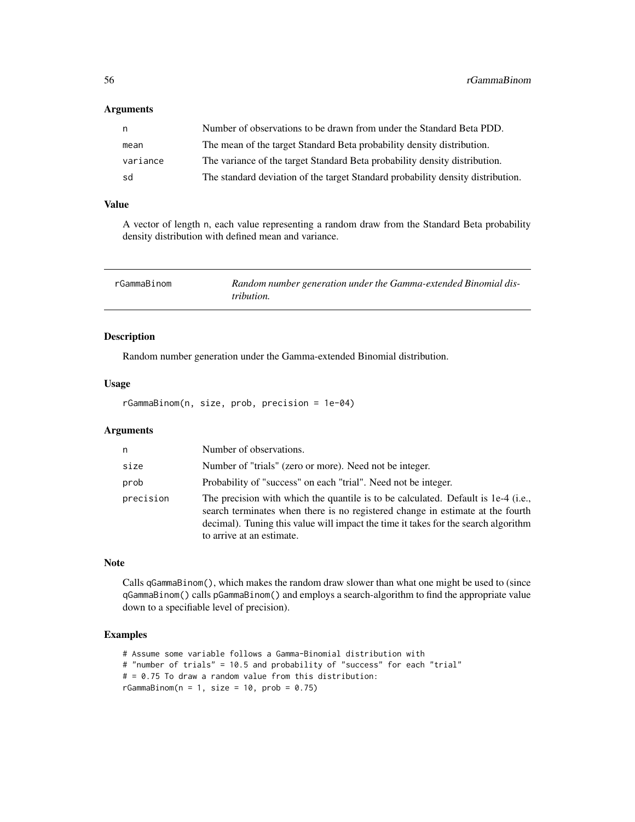#### <span id="page-55-0"></span>Arguments

| n,       | Number of observations to be drawn from under the Standard Beta PDD.            |
|----------|---------------------------------------------------------------------------------|
| mean     | The mean of the target Standard Beta probability density distribution.          |
| variance | The variance of the target Standard Beta probability density distribution.      |
| sd       | The standard deviation of the target Standard probability density distribution. |

### Value

A vector of length n, each value representing a random draw from the Standard Beta probability density distribution with defined mean and variance.

| rGammaBinom | Random number generation under the Gamma-extended Binomial dis- |
|-------------|-----------------------------------------------------------------|
|             | <i>tribution.</i>                                               |

### Description

Random number generation under the Gamma-extended Binomial distribution.

### Usage

rGammaBinom(n, size, prob, precision = 1e-04)

#### Arguments

| n         | Number of observations.                                                                                                                                                                                                                                                                |
|-----------|----------------------------------------------------------------------------------------------------------------------------------------------------------------------------------------------------------------------------------------------------------------------------------------|
| size      | Number of "trials" (zero or more). Need not be integer.                                                                                                                                                                                                                                |
| prob      | Probability of "success" on each "trial". Need not be integer.                                                                                                                                                                                                                         |
| precision | The precision with which the quantile is to be calculated. Default is 1e-4 (i.e.,<br>search terminates when there is no registered change in estimate at the fourth<br>decimal). Tuning this value will impact the time it takes for the search algorithm<br>to arrive at an estimate. |

#### Note

Calls qGammaBinom(), which makes the random draw slower than what one might be used to (since qGammaBinom() calls pGammaBinom() and employs a search-algorithm to find the appropriate value down to a specifiable level of precision).

```
# Assume some variable follows a Gamma-Binomial distribution with
# "number of trials" = 10.5 and probability of "success" for each "trial"
# = 0.75 To draw a random value from this distribution:
rGammaBinom(n = 1, size = 10, prob = 0.75)
```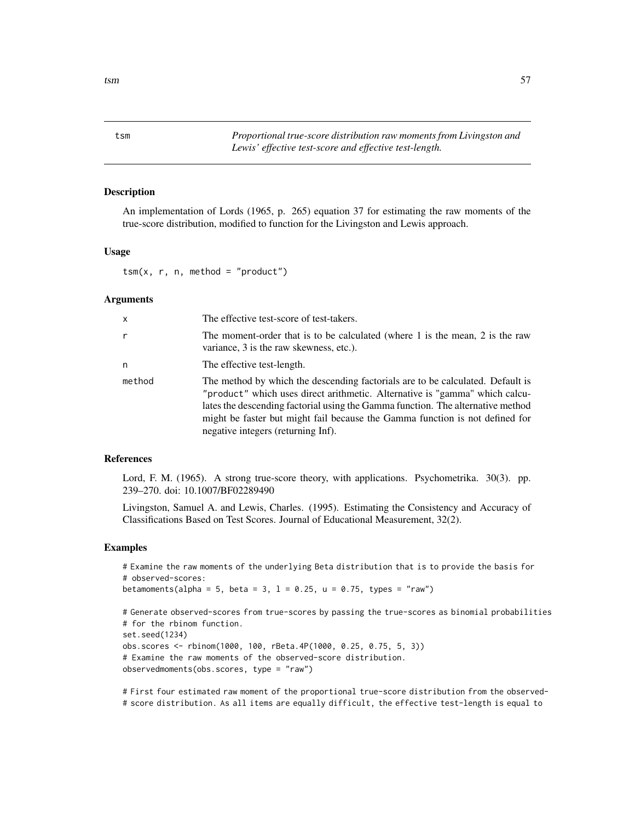<span id="page-56-0"></span>tsm *Proportional true-score distribution raw moments from Livingston and Lewis' effective test-score and effective test-length.*

### Description

An implementation of Lords (1965, p. 265) equation 37 for estimating the raw moments of the true-score distribution, modified to function for the Livingston and Lewis approach.

#### Usage

 $tsm(x, r, n, method = "product")$ 

#### Arguments

| x      | The effective test-score of test-takers.                                                                                                                                                                                                                                                                                                                               |
|--------|------------------------------------------------------------------------------------------------------------------------------------------------------------------------------------------------------------------------------------------------------------------------------------------------------------------------------------------------------------------------|
| r      | The moment-order that is to be calculated (where 1 is the mean, 2 is the raw<br>variance, 3 is the raw skewness, etc.).                                                                                                                                                                                                                                                |
| n      | The effective test-length.                                                                                                                                                                                                                                                                                                                                             |
| method | The method by which the descending factorials are to be calculated. Default is<br>"product" which uses direct arithmetic. Alternative is "gamma" which calcu-<br>lates the descending factorial using the Gamma function. The alternative method<br>might be faster but might fail because the Gamma function is not defined for<br>negative integers (returning Inf). |

#### References

Lord, F. M. (1965). A strong true-score theory, with applications. Psychometrika. 30(3). pp. 239–270. doi: 10.1007/BF02289490

Livingston, Samuel A. and Lewis, Charles. (1995). Estimating the Consistency and Accuracy of Classifications Based on Test Scores. Journal of Educational Measurement, 32(2).

#### Examples

# Examine the raw moments of the underlying Beta distribution that is to provide the basis for # observed-scores:

betamoments(alpha = 5, beta = 3,  $l = 0.25$ ,  $u = 0.75$ , types = "raw")

```
# Generate observed-scores from true-scores by passing the true-scores as binomial probabilities
# for the rbinom function.
set.seed(1234)
obs.scores <- rbinom(1000, 100, rBeta.4P(1000, 0.25, 0.75, 5, 3))
# Examine the raw moments of the observed-score distribution.
observedmoments(obs.scores, type = "raw")
```
# First four estimated raw moment of the proportional true-score distribution from the observed- # score distribution. As all items are equally difficult, the effective test-length is equal to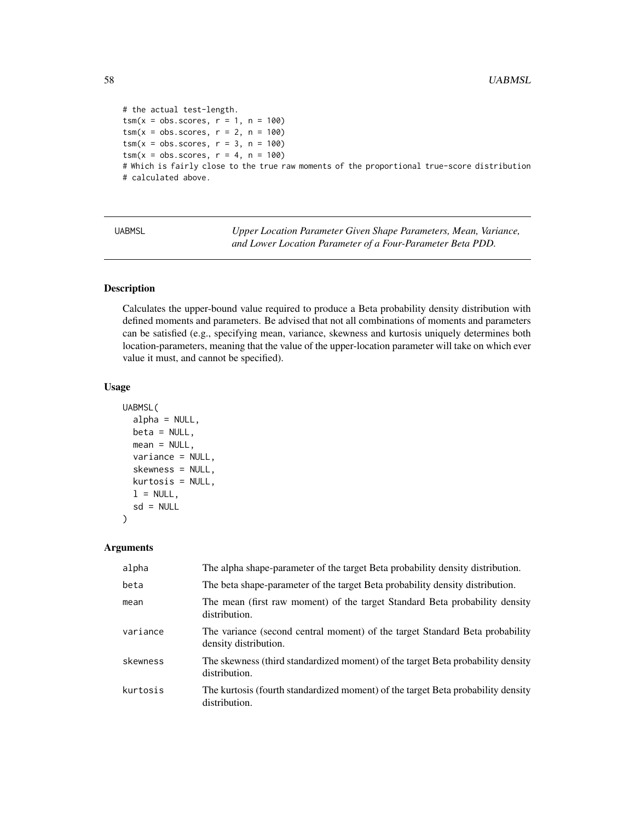```
# the actual test-length.
tsm(x = obs.scores, r = 1, n = 100)tsm(x = obs.scores, r = 2, n = 100)tsm(x = obs.scores, r = 3, n = 100)tsm(x = obs.scores, r = 4, n = 100)# Which is fairly close to the true raw moments of the proportional true-score distribution
# calculated above.
```
UABMSL *Upper Location Parameter Given Shape Parameters, Mean, Variance, and Lower Location Parameter of a Four-Parameter Beta PDD.*

### Description

Calculates the upper-bound value required to produce a Beta probability density distribution with defined moments and parameters. Be advised that not all combinations of moments and parameters can be satisfied (e.g., specifying mean, variance, skewness and kurtosis uniquely determines both location-parameters, meaning that the value of the upper-location parameter will take on which ever value it must, and cannot be specified).

### Usage

```
UABMSL(
  alpha = NULL,beta = NULL,
  mean = NULL,variance = NULL,
  skewness = NULL,
  kurtosis = NULL,
  l = NULL,sd = NULL\mathcal{E}
```

| alpha    | The alpha shape-parameter of the target Beta probability density distribution.                        |
|----------|-------------------------------------------------------------------------------------------------------|
| beta     | The beta shape-parameter of the target Beta probability density distribution.                         |
| mean     | The mean (first raw moment) of the target Standard Beta probability density<br>distribution.          |
| variance | The variance (second central moment) of the target Standard Beta probability<br>density distribution. |
| skewness | The skewness (third standardized moment) of the target Beta probability density<br>distribution.      |
| kurtosis | The kurtosis (fourth standardized moment) of the target Beta probability density<br>distribution.     |

<span id="page-57-0"></span>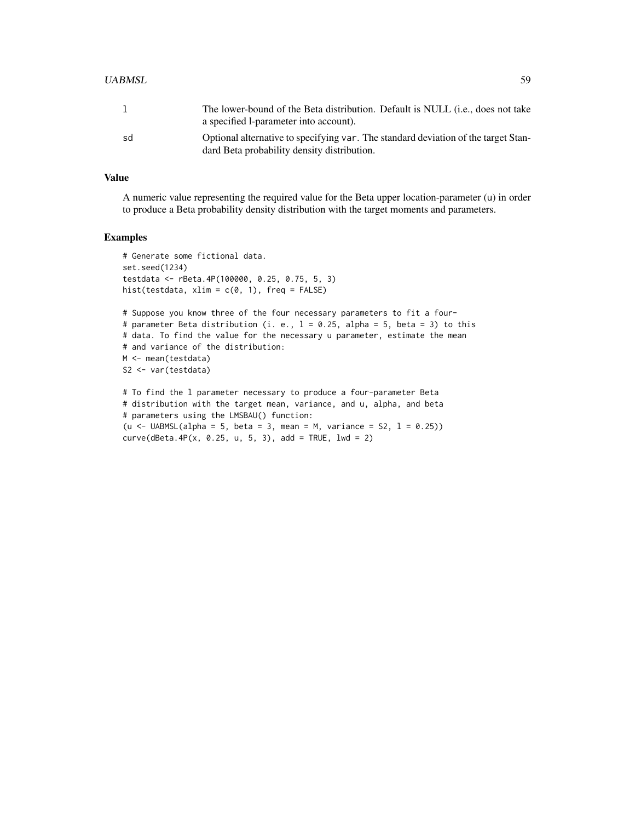#### UABMSL 59

|    | The lower-bound of the Beta distribution. Default is NULL (i.e., does not take<br>a specified 1-parameter into account).          |
|----|-----------------------------------------------------------------------------------------------------------------------------------|
| sd | Optional alternative to specifying var. The standard deviation of the target Stan-<br>dard Beta probability density distribution. |

### Value

A numeric value representing the required value for the Beta upper location-parameter (u) in order to produce a Beta probability density distribution with the target moments and parameters.

```
# Generate some fictional data.
set.seed(1234)
testdata <- rBeta.4P(100000, 0.25, 0.75, 5, 3)
hist(testdata, xlim = c(0, 1), freq = FALSE)
# Suppose you know three of the four necessary parameters to fit a four-
# parameter Beta distribution (i. e., l = 0.25, alpha = 5, beta = 3) to this
# data. To find the value for the necessary u parameter, estimate the mean
# and variance of the distribution:
M <- mean(testdata)
S2 <- var(testdata)
# To find the l parameter necessary to produce a four-parameter Beta
# distribution with the target mean, variance, and u, alpha, and beta
```

```
# parameters using the LMSBAU() function:
(u \leftarrow UABMSL(alpha = 5, beta = 3, mean = M, variance = S2, 1 = 0.25))
curve(dBeta.4P(x, 0.25, u, 5, 3), add = TRUE, lwd = 2)
```